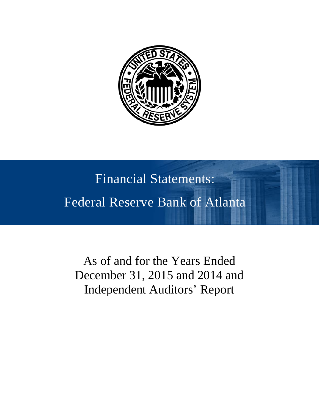

# Financial Statements: Federal Reserve Bank of Atlanta

As of and for the Years Ended December 31, 2015 and 2014 and Independent Auditors' Report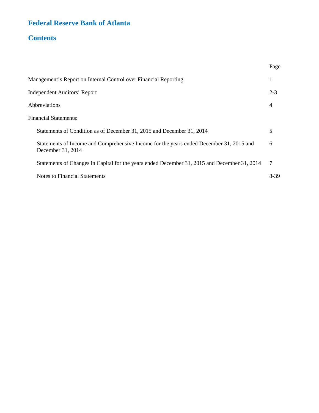### **Federal Reserve Bank of Atlanta**

### **Contents**

|                                                                                                              | Page    |
|--------------------------------------------------------------------------------------------------------------|---------|
| Management's Report on Internal Control over Financial Reporting                                             | 1       |
| <b>Independent Auditors' Report</b>                                                                          | $2 - 3$ |
| Abbreviations                                                                                                | 4       |
| <b>Financial Statements:</b>                                                                                 |         |
| Statements of Condition as of December 31, 2015 and December 31, 2014                                        | 5       |
| Statements of Income and Comprehensive Income for the years ended December 31, 2015 and<br>December 31, 2014 | 6       |
| Statements of Changes in Capital for the years ended December 31, 2015 and December 31, 2014                 | 7       |
| <b>Notes to Financial Statements</b>                                                                         | 8-39    |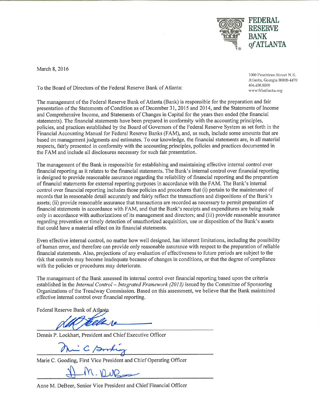

March 8, 2016

To the Board of Directors of the Federal Reserve Bank of Atlanta:

1000 Peachtree Street N.E. Atlanta, Georgia 30309-4470 404.498.8500 www.frbatlanta.org

The management of the Federal Reserve Bank of Atlanta (Bank) is responsible for the preparation and fair presentation of the Statements of Condition as of December 31, 2015 and 2014, and the Statements of Income and Comprehensive Income, and Statements of Changes in Capital for the years then ended (the financial statements). The financial statements have been prepared in conformity with the accounting principles, policies, and practices established by the Board of Governors of the Federal Reserve System as set forth in the Financial Accounting Manual for Federal Reserve Banks (FAM), and, as such, include some amounts that are based on management judgments and estimates. To our knowledge, the financial statements are, in all material respects, fairly presented in conformity with the accounting principles, policies and practices documented in the FAM and include all disclosures necessary for such fair presentation.

The management of the Bank is responsible for establishing and maintaining effective internal control over financial reporting as it relates to the financial statements. The Bank's internal control over financial reporting is designed to provide reasonable assurance regarding the reliability of financial reporting and the preparation of financial statements for external reporting purposes in accordance with the FAM. The Bank's internal control over financial reporting includes those policies and procedures that (i) pertain to the maintenance of records that in reasonable detail accurately and fairly reflect the transactions and dispositions of the Bank's assets; (ii) provide reasonable assurance that transactions are recorded as necessary to permit preparation of financial statements in accordance with FAM, and that the Bank's receipts and expenditures are being made only in accordance with authorizations of its management and directors; and (iii) provide reasonable assurance regarding prevention or timely detection of unauthorized acquisition, use or disposition of the Bank's assets that could have a material effect on its financial statements.

Even effective internal control, no matter how well designed, has inherent limitations, including the possibility of human error, and therefore can provide only reasonable assurance with respect to the preparation of reliable financial statements. Also, projections of any evaluation of effectiveness to future periods are subject to the risk that controls may become inadequate because of changes in conditions, or that the degree of compliance with the policies or procedures may deteriorate.

The management of the Bank assessed its internal control over financial reporting based upon the criteria established in the Internal Control - Integrated Framework (2013) issued by the Committee of Sponsoring Organizations of the Treadway Commission. Based on this assessment, we believe that the Bank maintained effective internal control over financial reporting.

Federal Reserve Bank of Atlanta

Dennis P. Lockhart, President and Chief Executive Officer

- C /sml

Marie C. Gooding, First Vice President and Chief Operating Officer

Anne M. DeBeer, Senior Vice President and Chief Financial Officer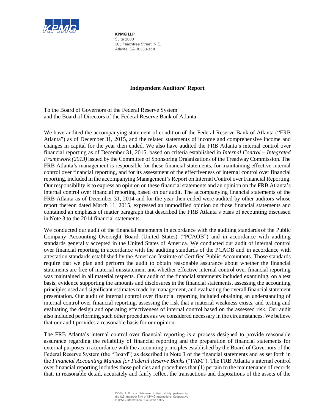

**KPMG LLP** Suite 2000 303 Peachtree Street, N.E. Atlanta, GA 30308-3210

### **Independent Auditors' Report**

To the Board of Governors of the Federal Reserve System and the Board of Directors of the Federal Reserve Bank of Atlanta:

We have audited the accompanying statement of condition of the Federal Reserve Bank of Atlanta ("FRB Atlanta") as of December 31, 2015, and the related statements of income and comprehensive income and changes in capital for the year then ended. We also have audited the FRB Atlanta's internal control over financial reporting as of December 31, 2015, based on criteria established in *Internal Control – Integrated Framework (2013)* issued by the Committee of Sponsoring Organizations of the Treadway Commission. The FRB Atlanta's management is responsible for these financial statements, for maintaining effective internal control over financial reporting, and for its assessment of the effectiveness of internal control over financial reporting, included in the accompanying Management's Report on Internal Control over Financial Reporting. Our responsibility is to express an opinion on these financial statements and an opinion on the FRB Atlanta's internal control over financial reporting based on our audit. The accompanying financial statements of the FRB Atlanta as of December 31, 2014 and for the year then ended were audited by other auditors whose report thereon dated March 11, 2015, expressed an unmodified opinion on those financial statements and contained an emphasis of matter paragraph that described the FRB Atlanta's basis of accounting discussed in Note 3 to the 2014 financial statements.

We conducted our audit of the financial statements in accordance with the auditing standards of the Public Company Accounting Oversight Board (United States) ("PCAOB") and in accordance with auditing standards generally accepted in the United States of America. We conducted our audit of internal control over financial reporting in accordance with the auditing standards of the PCAOB and in accordance with attestation standards established by the American Institute of Certified Public Accountants. Those standards require that we plan and perform the audit to obtain reasonable assurance about whether the financial statements are free of material misstatement and whether effective internal control over financial reporting was maintained in all material respects. Our audit of the financial statements included examining, on a test basis, evidence supporting the amounts and disclosures in the financial statements, assessing the accounting principles used and significant estimates made by management, and evaluating the overall financial statement presentation. Our audit of internal control over financial reporting included obtaining an understanding of internal control over financial reporting, assessing the risk that a material weakness exists, and testing and evaluating the design and operating effectiveness of internal control based on the assessed risk. Our audit also included performing such other procedures as we considered necessary in the circumstances. We believe that our audit provides a reasonable basis for our opinion.

The FRB Atlanta's internal control over financial reporting is a process designed to provide reasonable assurance regarding the reliability of financial reporting and the preparation of financial statements for external purposes in accordance with the accounting principles established by the Board of Governors of the Federal Reserve System (the "Board") as described in Note 3 of the financial statements and as set forth in the *Financial Accounting Manual for Federal Reserve Banks* ("FAM"). The FRB Atlanta's internal control over financial reporting includes those policies and procedures that (1) pertain to the maintenance of records that, in reasonable detail, accurately and fairly reflect the transactions and dispositions of the assets of the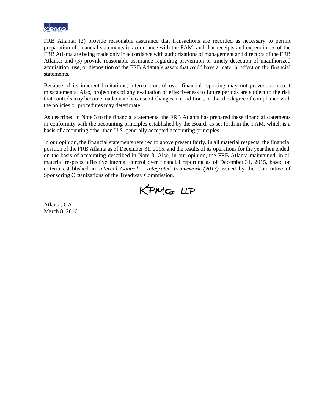

FRB Atlanta; (2) provide reasonable assurance that transactions are recorded as necessary to permit preparation of financial statements in accordance with the FAM, and that receipts and expenditures of the FRB Atlanta are being made only in accordance with authorizations of management and directors of the FRB Atlanta; and (3) provide reasonable assurance regarding prevention or timely detection of unauthorized acquisition, use, or disposition of the FRB Atlanta's assets that could have a material effect on the financial statements.

Because of its inherent limitations, internal control over financial reporting may not prevent or detect misstatements. Also, projections of any evaluation of effectiveness to future periods are subject to the risk that controls may become inadequate because of changes in conditions, or that the degree of compliance with the policies or procedures may deteriorate.

As described in Note 3 to the financial statements, the FRB Atlanta has prepared these financial statements in conformity with the accounting principles established by the Board, as set forth in the FAM, which is a basis of accounting other than U.S. generally accepted accounting principles.

In our opinion, the financial statements referred to above present fairly, in all material respects, the financial position of the FRB Atlanta as of December 31, 2015, and the results of its operations for the yearthen ended, on the basis of accounting described in Note 3. Also, in our opinion, the FRB Atlanta maintained, in all material respects, effective internal control over financial reporting as of December 31, 2015, based on criteria established in *Internal Control – Integrated Framework (2013)* issued by the Committee of Sponsoring Organizations of the Treadway Commission.



Atlanta, GA March 8, 2016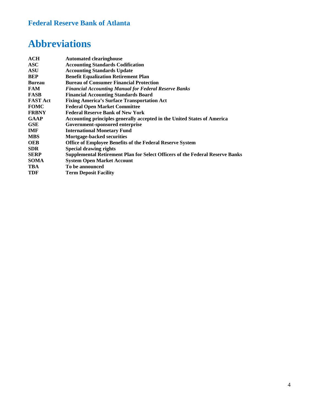### **Federal Reserve Bank of Atlanta**

# **Abbreviations**

| <b>ACH</b>      | <b>Automated clearinghouse</b>                                                |
|-----------------|-------------------------------------------------------------------------------|
| <b>ASC</b>      | <b>Accounting Standards Codification</b>                                      |
| <b>ASU</b>      | <b>Accounting Standards Update</b>                                            |
| <b>BEP</b>      | <b>Benefit Equalization Retirement Plan</b>                                   |
| <b>Bureau</b>   | <b>Bureau of Consumer Financial Protection</b>                                |
| <b>FAM</b>      | <b>Financial Accounting Manual for Federal Reserve Banks</b>                  |
| <b>FASB</b>     | <b>Financial Accounting Standards Board</b>                                   |
| <b>FAST Act</b> | <b>Fixing America's Surface Transportation Act</b>                            |
| <b>FOMC</b>     | <b>Federal Open Market Committee</b>                                          |
| <b>FRBNY</b>    | <b>Federal Reserve Bank of New York</b>                                       |
| <b>GAAP</b>     | Accounting principles generally accepted in the United States of America      |
| <b>GSE</b>      | Government-sponsored enterprise                                               |
| <b>IMF</b>      | <b>International Monetary Fund</b>                                            |
| <b>MBS</b>      | <b>Mortgage-backed securities</b>                                             |
| <b>OEB</b>      | <b>Office of Employee Benefits of the Federal Reserve System</b>              |
| <b>SDR</b>      | <b>Special drawing rights</b>                                                 |
| <b>SERP</b>     | Supplemental Retirement Plan for Select Officers of the Federal Reserve Banks |
| <b>SOMA</b>     | <b>System Open Market Account</b>                                             |
| TBA             | To be announced                                                               |
| <b>TDF</b>      | <b>Term Deposit Facility</b>                                                  |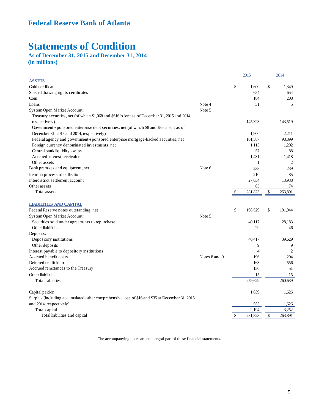# **Statements of Condition**

### **As of December 31, 2015 and December 31, 2014 (in millions)**

|                                                                                                |               |              | 2015         | 2014           |
|------------------------------------------------------------------------------------------------|---------------|--------------|--------------|----------------|
| <b>ASSETS</b>                                                                                  |               |              |              |                |
| Gold certificates                                                                              |               | \$           | 1.600        | \$<br>1,349    |
| Special drawing rights certificates                                                            |               |              | 654          | 654            |
| Coin                                                                                           |               |              | 184          | 208            |
| Loans                                                                                          | Note 4        |              | 31           | 5              |
| System Open Market Account:                                                                    | Note 5        |              |              |                |
| Treasury securities, net (of which \$1,068 and \$616 is lent as of December 31, 2015 and 2014, |               |              |              |                |
| respectively)                                                                                  |               |              | 145,323      | 143,519        |
| Government-sponsored enterprise debt securities, net (of which \$8 and \$35 is lent as of      |               |              |              |                |
| December 31, 2015 and 2014, respectively)                                                      |               |              | 1,900        | 2,211          |
| Federal agency and government-sponsored enterprise mortgage-backed securities, net             |               |              | 101,387      | 98,899         |
| Foreign currency denominated investments, net                                                  |               |              | 1.113        | 1,202          |
| Central bank liquidity swaps                                                                   |               |              | 57           | 88             |
| Accrued interest receivable                                                                    |               |              | 1,431        | 1,418          |
| Other assets                                                                                   |               |              | $\mathbf{1}$ | $\overline{2}$ |
| Bank premises and equipment, net                                                               | Note 6        |              | 233          | 239            |
| Items in process of collection                                                                 |               |              | 210          | 85             |
| Interdistrict settlement account                                                               |               |              | 27,634       | 13,938         |
| Other assets                                                                                   |               |              | 65           | 74             |
| Total assets                                                                                   |               | $\mathbb{S}$ | 281,823      | \$<br>263,891  |
| <b>LIABILITIES AND CAPITAL</b>                                                                 |               |              |              |                |
| Federal Reserve notes outstanding, net                                                         |               | \$           | 198,529      | \$<br>191,944  |
| <b>System Open Market Account:</b>                                                             | Note 5        |              |              |                |
| Securities sold under agreements to repurchase                                                 |               |              | 40,117       | 28,183         |
| Other liabilities                                                                              |               |              | 29           | 46             |
| Deposits:                                                                                      |               |              |              |                |
| Depository institutions                                                                        |               |              | 40,417       | 39,629         |
| Other deposits                                                                                 |               |              | 9            | 9              |
| Interest payable to depository institutions                                                    |               |              | 4            | $\overline{2}$ |
| Accrued benefit costs                                                                          | Notes 8 and 9 |              | 196          | 204            |
| Deferred credit items                                                                          |               |              | 163          | 556            |
| Accrued remittances to the Treasury                                                            |               |              | 150          | 51             |
| Other liabilities                                                                              |               |              | 15           | 15             |
| <b>Total liabilities</b>                                                                       |               |              | 279,629      | 260,639        |
| Capital paid-in                                                                                |               |              | 1,639        | 1,626          |
| Surplus (including accumulated other comprehensive loss of \$16 and \$35 at December 31, 2015  |               |              |              |                |
| and 2014, respectively)                                                                        |               |              | 555          | 1,626          |
| Total capital                                                                                  |               |              | 2,194        | 3,252          |
| Total liabilities and capital                                                                  |               | $\$\,$       | 281,823      | \$<br>263,891  |

The accompanying notes are an integral part of these financial statements.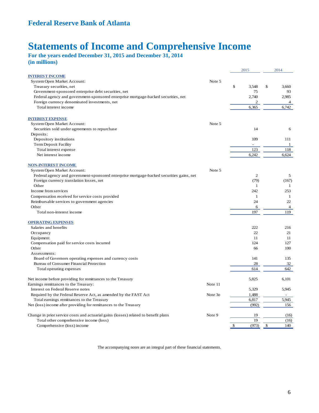## **Statements of Income and Comprehensive Income**

**For the years ended December 31, 2015 and December 31, 2014 (in millions)**

|                                                                                          |         | 2015           | 2014           |
|------------------------------------------------------------------------------------------|---------|----------------|----------------|
| <b>INTEREST INCOME</b>                                                                   |         |                |                |
| System Open Market Account:                                                              | Note 5  |                |                |
| Treasury securities, net                                                                 |         | \$<br>3.548    | \$<br>3,660    |
| Government-sponsored enterprise debt securities, net                                     |         | 75             | 93             |
| Federal agency and government-sponsored enterprise mortgage-backed securities, net       |         | 2.740          | 2,985          |
| Foreign currency denominated investments, net                                            |         | $\overline{2}$ | 4              |
| Total interest income                                                                    |         | 6,365          | 6,742          |
| <b>INTEREST EXPENSE</b>                                                                  |         |                |                |
| System Open Market Account:                                                              | Note 5  |                |                |
| Securities sold under agreements to repurchase                                           |         | 14             | 6              |
| Deposits:                                                                                |         |                |                |
| Depository institutions                                                                  |         | 109            | 111            |
| Term Deposit Facility                                                                    |         |                | 1              |
| Total interest expense                                                                   |         | 123            | 118            |
| Net interest income                                                                      |         | 6,242          | 6,624          |
| <b>NON-INTEREST INCOME</b>                                                               |         |                |                |
| System Open Market Account:                                                              | Note 5  |                |                |
| Federal agency and government-sponsored enterprise mortgage-backed securities gains, net |         | $\overline{2}$ | 5              |
| Foreign currency translation losses, net                                                 |         | (79)           | (167)          |
| Other                                                                                    |         | $\mathbf{1}$   | 1              |
| Income from services                                                                     |         | 242            | 253            |
| Compensation received for service costs provided                                         |         | $\mathbf{1}$   | 1              |
| Reimbursable services to government agencies                                             |         | 24             | 22             |
| Other                                                                                    |         | 6              | $\overline{4}$ |
| Total non-interest income                                                                |         | 197            | 119            |
| <b>OPERATING EXPENSES</b>                                                                |         |                |                |
| Salaries and benefits                                                                    |         | 222            | 216            |
| Occupancy                                                                                |         | 22             | 21             |
| Equipment                                                                                |         | 11             | 11             |
| Compensation paid for service costs incurred                                             |         | 124            | 127            |
| Other<br>Assessments:                                                                    |         | 66             | 100            |
| Board of Governors operating expenses and currency costs                                 |         | 141            | 135            |
| Bureau of Consumer Financial Protection                                                  |         | 28             | 32             |
| Total operating expenses                                                                 |         | 614            | 642            |
| Net income before providing for remittances to the Treasury                              |         | 5,825          | 6,101          |
| Earnings remittances to the Treasury:                                                    | Note 11 |                |                |
| Interest on Federal Reserve notes                                                        |         | 5,329          | 5,945          |
| Required by the Federal Reserve Act, as amended by the FAST Act                          | Note 3o | 1,488          |                |
| Total earnings remittances to the Treasury                                               |         | 6,817          | 5,945          |
| Net (loss) income after providing for remittances to the Treasury                        |         | (992)          | 156            |
|                                                                                          |         |                |                |
| Change in prior service costs and actuarial gains (losses) related to benefit plans      | Note 9  | 19             | (16)           |
| Total other comprehensive income (loss)                                                  |         | 19             | (16)           |
| Comprehensive (loss) income                                                              |         | \$<br>(973)    | \$<br>140      |

The accompanying notes are an integral part of these financial statements.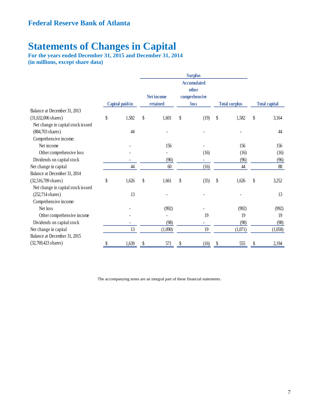# **Statements of Changes in Capital**

**For the years ended December 31, 2015 and December 31, 2014 (in millions, except share data)**

|                                    |                 |                   | <b>Surplus</b>                               |                      |                      |
|------------------------------------|-----------------|-------------------|----------------------------------------------|----------------------|----------------------|
|                                    |                 | <b>Net income</b> | <b>Accumulated</b><br>other<br>comprehensive |                      |                      |
|                                    | Capital paid-in | retained          | loss                                         | <b>Total surplus</b> | <b>Total capital</b> |
| Balance at December 31, 2013       |                 |                   |                                              |                      |                      |
| $(31,632,006$ shares)              | \$<br>1,582     | \$<br>1,601       | \$<br>(19)                                   | \$<br>1,582          | \$<br>3,164          |
| Net change in capital stock issued |                 |                   |                                              |                      |                      |
| $(884,703 \text{ shares})$         | 44              |                   |                                              |                      | 44                   |
| Comprehensive income:              |                 |                   |                                              |                      |                      |
| Net income                         |                 | 156               |                                              | 156                  | 156                  |
| Other comprehensive loss           |                 |                   | (16)                                         | (16)                 | (16)                 |
| Dividends on capital stock         |                 | (96)              |                                              | (96)                 | (96)                 |
| Net change in capital              | 44              | 60                | (16)                                         | 44                   | 88                   |
| Balance at December 31, 2014       |                 |                   |                                              |                      |                      |
| (32,516,709 shares)                | \$<br>1,626     | \$<br>1,661       | \$<br>(35)                                   | \$<br>1,626          | \$<br>3,252          |
| Net change in capital stock issued |                 |                   |                                              |                      |                      |
| $(252,714 \text{ shares})$         | 13              |                   |                                              |                      | 13                   |
| Comprehensive income:              |                 |                   |                                              |                      |                      |
| Net loss                           |                 | (992)             |                                              | (992)                | (992)                |
| Other comprehensive income         |                 |                   | 19                                           | 19                   | 19                   |
| Dividends on capital stock         |                 | (98)              |                                              | (98)                 | (98)                 |
| Net change in capital              | 13              | (1,090)           | 19                                           | (1,071)              | (1,058)              |
| Balance at December 31, 2015       |                 |                   |                                              |                      |                      |
| (32,769,423 shares)                | 1,639           | 571               | (16)                                         | 555                  | 2,194                |
|                                    |                 |                   |                                              |                      |                      |

The accompanying notes are an integral part of these financial statements.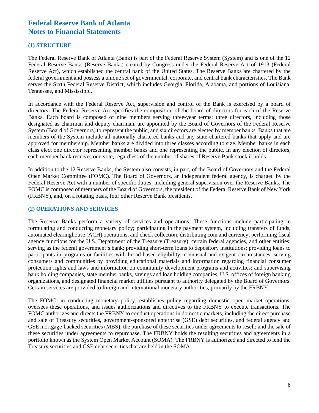#### **(1) STRUCTURE**

The Federal Reserve Bank of Atlanta (Bank) is part of the Federal Reserve System (System) and is one of the 12 Federal Reserve Banks (Reserve Banks) created by Congress under the Federal Reserve Act of 1913 (Federal Reserve Act), which established the central bank of the United States. The Reserve Banks are chartered by the federal government and possess a unique set of governmental, corporate, and central bank characteristics. The Bank serves the Sixth Federal Reserve District, which includes Georgia, Florida, Alabama, and portions of Louisiana, Tennessee, and Mississippi.

In accordance with the Federal Reserve Act, supervision and control of the Bank is exercised by a board of directors. The Federal Reserve Act specifies the composition of the board of directors for each of the Reserve Banks. Each board is composed of nine members serving three-year terms: three directors, including those designated as chairman and deputy chairman, are appointed by the Board of Governors of the Federal Reserve System (Board of Governors) to represent the public, and six directors are elected by member banks. Banks that are members of the System include all nationally-chartered banks and any state-chartered banks that apply and are approved for membership. Member banks are divided into three classes according to size. Member banks in each class elect one director representing member banks and one representing the public. In any election of directors, each member bank receives one vote, regardless of the number of shares of Reserve Bank stock it holds.

In addition to the 12 Reserve Banks, the System also consists, in part, of the Board of Governors and the Federal Open Market Committee (FOMC). The Board of Governors, an independent federal agency, is charged by the Federal Reserve Act with a number of specific duties, including general supervision over the Reserve Banks. The FOMC is composed of members of the Board of Governors, the president of the Federal Reserve Bank of New York (FRBNY), and, on a rotating basis, four other Reserve Bank presidents.

### **(2) OPERATIONS AND SERVICES**

The Reserve Banks perform a variety of services and operations. These functions include participating in formulating and conducting monetary policy; participating in the payment system, including transfers of funds, automated clearinghouse (ACH) operations, and check collection; distributing coin and currency; performing fiscal agency functions for the U.S. Department of the Treasury (Treasury), certain federal agencies, and other entities; serving as the federal government's bank; providing short-term loans to depository institutions; providing loans to participants in programs or facilities with broad-based eligibility in unusual and exigent circumstances; serving consumers and communities by providing educational materials and information regarding financial consumer protection rights and laws and information on community development programs and activities; and supervising bank holding companies, state member banks, savings and loan holding companies, U.S. offices of foreign banking organizations, and designated financial market utilities pursuant to authority delegated by the Board of Governors. Certain services are provided to foreign and international monetary authorities, primarily by the FRBNY.

The FOMC, in conducting monetary policy, establishes policy regarding domestic open market operations, oversees these operations, and issues authorizations and directives to the FRBNY to execute transactions. The FOMC authorizes and directs the FRBNY to conduct operations in domestic markets, including the direct purchase and sale of Treasury securities, government-sponsored enterprise (GSE) debt securities, and federal agency and GSE mortgage-backed securities (MBS); the purchase of these securities under agreements to resell; and the sale of these securities under agreements to repurchase. The FRBNY holds the resulting securities and agreements in a portfolio known as the System Open Market Account (SOMA). The FRBNY is authorized and directed to lend the Treasury securities and GSE debt securities that are held in the SOMA.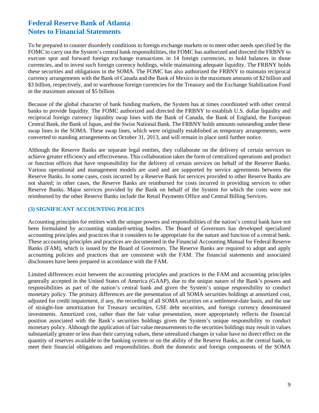To be prepared to counter disorderly conditions in foreign exchange markets or to meet other needs specified by the FOMC to carry out the System's central bank responsibilities, the FOMC has authorized and directed the FRBNY to execute spot and forward foreign exchange transactions in 14 foreign currencies, to hold balances in those currencies, and to invest such foreign currency holdings, while maintaining adequate liquidity. The FRBNY holds these securities and obligations in the SOMA. The FOMC has also authorized the FRBNY to maintain reciprocal currency arrangements with the Bank of Canada and the Bank of Mexico in the maximum amounts of \$2 billion and \$3 billion, respectively, and to warehouse foreign currencies for the Treasury and the Exchange Stabilization Fund in the maximum amount of \$5 billion.

Because of the global character of bank funding markets, the System has at times coordinated with other central banks to provide liquidity. The FOMC authorized and directed the FRBNY to establish U.S. dollar liquidity and reciprocal foreign currency liquidity swap lines with the Bank of Canada, the Bank of England, the European Central Bank, the Bank of Japan, and the Swiss National Bank. The FRBNY holds amounts outstanding under these swap lines in the SOMA. These swap lines, which were originally established as temporary arrangements, were converted to standing arrangements on October 31, 2013, and will remain in place until further notice.

Although the Reserve Banks are separate legal entities, they collaborate on the delivery of certain services to achieve greater efficiency and effectiveness. This collaboration takes the form of centralized operations and product or function offices that have responsibility for the delivery of certain services on behalf of the Reserve Banks. Various operational and management models are used and are supported by service agreements between the Reserve Banks. In some cases, costs incurred by a Reserve Bank for services provided to other Reserve Banks are not shared; in other cases, the Reserve Banks are reimbursed for costs incurred in providing services to other Reserve Banks. Major services provided by the Bank on behalf of the System for which the costs were not reimbursed by the other Reserve Banks include the Retail Payments Office and Central Billing Services.

### **(3) SIGNIFICANT ACCOUNTING POLICIES**

Accounting principles for entities with the unique powers and responsibilities of the nation's central bank have not been formulated by accounting standard-setting bodies. The Board of Governors has developed specialized accounting principles and practices that it considers to be appropriate for the nature and function of a central bank. These accounting principles and practices are documented in the Financial Accounting Manual for Federal Reserve Banks (FAM), which is issued by the Board of Governors. The Reserve Banks are required to adopt and apply accounting policies and practices that are consistent with the FAM. The financial statements and associated disclosures have been prepared in accordance with the FAM.

Limited differences exist between the accounting principles and practices in the FAM and accounting principles generally accepted in the United States of America (GAAP), due to the unique nature of the Bank's powers and responsibilities as part of the nation's central bank and given the System's unique responsibility to conduct monetary policy. The primary differences are the presentation of all SOMA securities holdings at amortized cost, adjusted for credit impairment, if any, the recording of all SOMA securities on a settlement-date basis, and the use of straight-line amortization for Treasury securities, GSE debt securities, and foreign currency denominated investments. Amortized cost, rather than the fair value presentation, more appropriately reflects the financial position associated with the Bank's securities holdings given the System's unique responsibility to conduct monetary policy. Although the application of fair value measurements to the securities holdings may result in values substantially greater or less than their carrying values, these unrealized changes in value have no direct effect on the quantity of reserves available to the banking system or on the ability of the Reserve Banks, as the central bank, to meet their financial obligations and responsibilities. Both the domestic and foreign components of the SOMA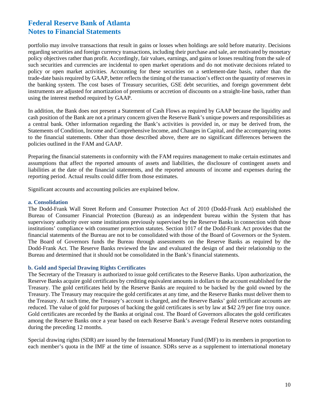portfolio may involve transactions that result in gains or losses when holdings are sold before maturity. Decisions regarding securities and foreign currency transactions, including their purchase and sale, are motivated by monetary policy objectives rather than profit. Accordingly, fair values, earnings, and gains or losses resulting from the sale of such securities and currencies are incidental to open market operations and do not motivate decisions related to policy or open market activities. Accounting for these securities on a settlement-date basis, rather than the trade-date basis required by GAAP, better reflects the timing of the transaction's effect on the quantity of reserves in the banking system. The cost bases of Treasury securities, GSE debt securities, and foreign government debt instruments are adjusted for amortization of premiums or accretion of discounts on a straight-line basis, rather than using the interest method required by GAAP.

In addition, the Bank does not present a Statement of Cash Flows as required by GAAP because the liquidity and cash position of the Bank are not a primary concern given the Reserve Bank's unique powers and responsibilities as a central bank. Other information regarding the Bank's activities is provided in, or may be derived from, the Statements of Condition, Income and Comprehensive Income, and Changes in Capital, and the accompanying notes to the financial statements. Other than those described above, there are no significant differences between the policies outlined in the FAM and GAAP.

Preparing the financial statements in conformity with the FAM requires management to make certain estimates and assumptions that affect the reported amounts of assets and liabilities, the disclosure of contingent assets and liabilities at the date of the financial statements, and the reported amounts of income and expenses during the reporting period. Actual results could differ from those estimates.

Significant accounts and accounting policies are explained below.

#### **a. Consolidation**

The Dodd-Frank Wall Street Reform and Consumer Protection Act of 2010 (Dodd-Frank Act) established the Bureau of Consumer Financial Protection (Bureau) as an independent bureau within the System that has supervisory authority over some institutions previously supervised by the Reserve Banks in connection with those institutions' compliance with consumer protection statutes. Section 1017 of the Dodd-Frank Act provides that the financial statements of the Bureau are not to be consolidated with those of the Board of Governors or the System. The Board of Governors funds the Bureau through assessments on the Reserve Banks as required by the Dodd-Frank Act. The Reserve Banks reviewed the law and evaluated the design of and their relationship to the Bureau and determined that it should not be consolidated in the Bank's financial statements.

### **b. Gold and Special Drawing Rights Certificates**

The Secretary of the Treasury is authorized to issue gold certificates to the Reserve Banks. Upon authorization, the Reserve Banks acquire gold certificates by crediting equivalent amounts in dollars to the account established for the Treasury. The gold certificates held by the Reserve Banks are required to be backed by the gold owned by the Treasury. The Treasury may reacquire the gold certificates at any time, and the Reserve Banks must deliver them to the Treasury. At such time, the Treasury's account is charged, and the Reserve Banks' gold certificate accounts are reduced. The value of gold for purposes of backing the gold certificates is set by law at \$42 2/9 per fine troy ounce. Gold certificates are recorded by the Banks at original cost. The Board of Governors allocates the gold certificates among the Reserve Banks once a year based on each Reserve Bank's average Federal Reserve notes outstanding during the preceding 12 months.

Special drawing rights (SDR) are issued by the International Monetary Fund (IMF) to its members in proportion to each member's quota in the IMF at the time of issuance. SDRs serve as a supplement to international monetary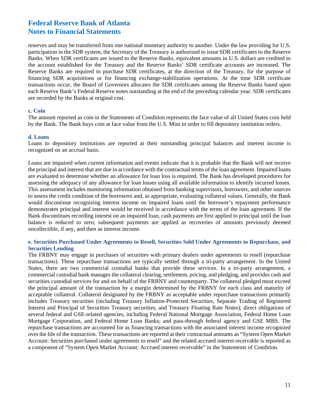reserves and may be transferred from one national monetary authority to another. Under the law providing for U.S. participation in the SDR system, the Secretary of the Treasury is authorized to issue SDR certificates to the Reserve Banks. When SDR certificates are issued to the Reserve Banks, equivalent amounts in U.S. dollars are credited to the account established for the Treasury and the Reserve Banks' SDR certificate accounts are increased. The Reserve Banks are required to purchase SDR certificates, at the direction of the Treasury, for the purpose of financing SDR acquisitions or for financing exchange-stabilization operations. At the time SDR certificate transactions occur, the Board of Governors allocates the SDR certificates among the Reserve Banks based upon each Reserve Bank's Federal Reserve notes outstanding at the end of the preceding calendar year. SDR certificates are recorded by the Banks at original cost.

#### **c. Coin**

The amount reported as coin in the Statements of Condition represents the face value of all United States coin held by the Bank. The Bank buys coin at face value from the U.S. Mint in order to fill depository institution orders.

#### **d. Loans**

Loans to depository institutions are reported at their outstanding principal balances and interest income is recognized on an accrual basis.

Loans are impaired when current information and events indicate that it is probable that the Bank will not receive the principal and interest that are due in accordance with the contractual terms of the loan agreement. Impaired loans are evaluated to determine whether an allowance for loan loss is required. The Bank has developed procedures for assessing the adequacy of any allowance for loan losses using all available information to identify incurred losses. This assessment includes monitoring information obtained from banking supervisors, borrowers, and other sources to assess the credit condition of the borrowers and, as appropriate, evaluating collateral values. Generally, the Bank would discontinue recognizing interest income on impaired loans until the borrower's repayment performance demonstrates principal and interest would be received in accordance with the terms of the loan agreement. If the Bank discontinues recording interest on an impaired loan, cash payments are first applied to principal until the loan balance is reduced to zero; subsequent payments are applied as recoveries of amounts previously deemed uncollectible, if any, and then as interest income.

### **e. Securities Purchased Under Agreements to Resell, Securities Sold Under Agreements to Repurchase, and Securities Lending**

The FRBNY may engage in purchases of securities with primary dealers under agreements to resell (repurchase transactions). These repurchase transactions are typically settled through a tri-party arrangement. In the United States, there are two commercial custodial banks that provide these services. In a tri-party arrangement, a commercial custodial bank manages the collateral clearing, settlement, pricing, and pledging, and provides cash and securities custodial services for and on behalf of the FRBNY and counterparty. The collateral pledged must exceed the principal amount of the transaction by a margin determined by the FRBNY for each class and maturity of acceptable collateral. Collateral designated by the FRBNY as acceptable under repurchase transactions primarily includes Treasury securities (including Treasury Inflation-Protected Securities, Separate Trading of Registered Interest and Principal of Securities Treasury securities, and Treasury Floating Rate Notes); direct obligations of several federal and GSE-related agencies, including Federal National Mortgage Association, Federal Home Loan Mortgage Corporation, and Federal Home Loan Banks; and pass-through federal agency and GSE MBS. The repurchase transactions are accounted for as financing transactions with the associated interest income recognized over the life of the transaction. These transactions are reported at their contractual amounts as "System Open Market Account: Securities purchased under agreements to resell" and the related accrued interest receivable is reported as a component of "System Open Market Account: Accrued interest receivable" in the Statements of Condition.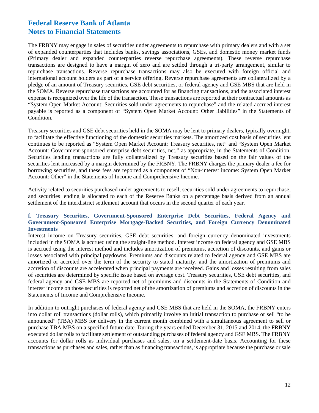The FRBNY may engage in sales of securities under agreements to repurchase with primary dealers and with a set of expanded counterparties that includes banks, savings associations, GSEs, and domestic money market funds (Primary dealer and expanded counterparties reverse repurchase agreements). These reverse repurchase transactions are designed to have a margin of zero and are settled through a tri-party arrangement, similar to repurchase transactions. Reverse repurchase transactions may also be executed with foreign official and international account holders as part of a service offering. Reverse repurchase agreements are collateralized by a pledge of an amount of Treasury securities, GSE debt securities, or federal agency and GSE MBS that are held in the SOMA. Reverse repurchase transactions are accounted for as financing transactions, and the associated interest expense is recognized over the life of the transaction. These transactions are reported at their contractual amounts as "System Open Market Account: Securities sold under agreements to repurchase" and the related accrued interest payable is reported as a component of "System Open Market Account: Other liabilities" in the Statements of Condition.

Treasury securities and GSE debt securities held in the SOMA may be lent to primary dealers, typically overnight, to facilitate the effective functioning of the domestic securities markets. The amortized cost basis of securities lent continues to be reported as "System Open Market Account: Treasury securities, net" and "System Open Market Account: Government-sponsored enterprise debt securities, net," as appropriate, in the Statements of Condition. Securities lending transactions are fully collateralized by Treasury securities based on the fair values of the securities lent increased by a margin determined by the FRBNY. The FRBNY charges the primary dealer a fee for borrowing securities, and these fees are reported as a component of "Non-interest income: System Open Market Account: Other" in the Statements of Income and Comprehensive Income.

Activity related to securities purchased under agreements to resell, securities sold under agreements to repurchase, and securities lending is allocated to each of the Reserve Banks on a percentage basis derived from an annual settlement of the interdistrict settlement account that occurs in the second quarter of each year.

### **f. Treasury Securities, Government-Sponsored Enterprise Debt Securities, Federal Agency and Government-Sponsored Enterprise Mortgage-Backed Securities, and Foreign Currency Denominated Investments**

Interest income on Treasury securities, GSE debt securities, and foreign currency denominated investments included in the SOMA is accrued using the straight-line method. Interest income on federal agency and GSE MBS is accrued using the interest method and includes amortization of premiums, accretion of discounts, and gains or losses associated with principal paydowns. Premiums and discounts related to federal agency and GSE MBS are amortized or accreted over the term of the security to stated maturity, and the amortization of premiums and accretion of discounts are accelerated when principal payments are received. Gains and losses resulting from sales of securities are determined by specific issue based on average cost. Treasury securities, GSE debt securities, and federal agency and GSE MBS are reported net of premiums and discounts in the Statements of Condition and interest income on those securities is reported net of the amortization of premiums and accretion of discounts in the Statements of Income and Comprehensive Income.

In addition to outright purchases of federal agency and GSE MBS that are held in the SOMA, the FRBNY enters into dollar roll transactions (dollar rolls), which primarily involve an initial transaction to purchase or sell "to be announced" (TBA) MBS for delivery in the current month combined with a simultaneous agreement to sell or purchase TBA MBS on a specified future date. During the years ended December 31, 2015 and 2014, the FRBNY executed dollar rolls to facilitate settlement of outstanding purchases of federal agency and GSE MBS. The FRBNY accounts for dollar rolls as individual purchases and sales, on a settlement-date basis. Accounting for these transactions as purchases and sales, rather than as financing transactions, is appropriate because the purchase or sale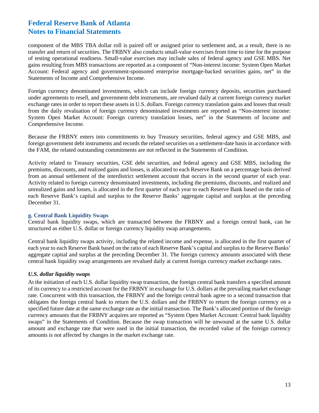component of the MBS TBA dollar roll is paired off or assigned prior to settlement and, as a result, there is no transfer and return of securities. The FRBNY also conducts small-value exercises from time to time for the purpose of testing operational readiness. Small-value exercises may include sales of federal agency and GSE MBS. Net gains resulting from MBS transactions are reported as a component of "Non-interest income: System Open Market Account: Federal agency and government-sponsored enterprise mortgage-backed securities gains, net" in the Statements of Income and Comprehensive Income.

Foreign currency denominated investments, which can include foreign currency deposits, securities purchased under agreements to resell, and government debt instruments, are revalued daily at current foreign currency market exchange rates in order to report these assets in U.S. dollars. Foreign currency translation gains and losses that result from the daily revaluation of foreign currency denominated investments are reported as "Non-interest income: System Open Market Account: Foreign currency translation losses, net" in the Statements of Income and Comprehensive Income.

Because the FRBNY enters into commitments to buy Treasury securities, federal agency and GSE MBS, and foreign government debt instruments and records the related securities on a settlement-date basis in accordance with the FAM, the related outstanding commitments are not reflected in the Statements of Condition.

Activity related to Treasury securities, GSE debt securities, and federal agency and GSE MBS, including the premiums, discounts, and realized gains and losses, is allocated to each Reserve Bank on a percentage basis derived from an annual settlement of the interdistrict settlement account that occurs in the second quarter of each year. Activity related to foreign currency denominated investments, including the premiums, discounts, and realized and unrealized gains and losses, is allocated in the first quarter of each year to each Reserve Bank based on the ratio of each Reserve Bank's capital and surplus to the Reserve Banks' aggregate capital and surplus at the preceding December 31.

### **g. Central Bank Liquidity Swaps**

Central bank liquidity swaps, which are transacted between the FRBNY and a foreign central bank, can be structured as either U.S. dollar or foreign currency liquidity swap arrangements.

Central bank liquidity swaps activity, including the related income and expense, is allocated in the first quarter of each year to each Reserve Bank based on the ratio of each Reserve Bank's capital and surplus to the Reserve Banks' aggregate capital and surplus at the preceding December 31. The foreign currency amounts associated with these central bank liquidity swap arrangements are revalued daily at current foreign currency market exchange rates.

### *U.S. dollar liquidity swaps*

At the initiation of each U.S. dollar liquidity swap transaction, the foreign central bank transfers a specified amount of its currency to a restricted account for the FRBNY in exchange for U.S. dollars at the prevailing market exchange rate. Concurrent with this transaction, the FRBNY and the foreign central bank agree to a second transaction that obligates the foreign central bank to return the U.S. dollars and the FRBNY to return the foreign currency on a specified future date at the same exchange rate as the initial transaction. The Bank's allocated portion of the foreign currency amounts that the FRBNY acquires are reported as "System Open Market Account: Central bank liquidity swaps" in the Statements of Condition. Because the swap transaction will be unwound at the same U.S. dollar amount and exchange rate that were used in the initial transaction, the recorded value of the foreign currency amounts is not affected by changes in the market exchange rate.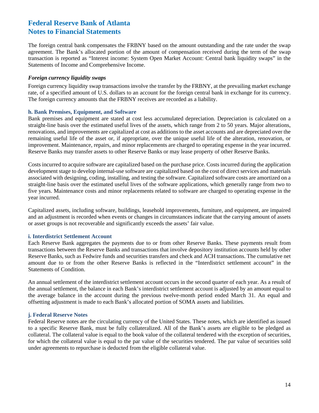The foreign central bank compensates the FRBNY based on the amount outstanding and the rate under the swap agreement. The Bank's allocated portion of the amount of compensation received during the term of the swap transaction is reported as "Interest income: System Open Market Account: Central bank liquidity swaps" in the Statements of Income and Comprehensive Income.

#### *Foreign currency liquidity swaps*

Foreign currency liquidity swap transactions involve the transfer by the FRBNY, at the prevailing market exchange rate, of a specified amount of U.S. dollars to an account for the foreign central bank in exchange for its currency. The foreign currency amounts that the FRBNY receives are recorded as a liability.

#### **h. Bank Premises, Equipment, and Software**

Bank premises and equipment are stated at cost less accumulated depreciation. Depreciation is calculated on a straight-line basis over the estimated useful lives of the assets, which range from 2 to 50 years. Major alterations, renovations, and improvements are capitalized at cost as additions to the asset accounts and are depreciated over the remaining useful life of the asset or, if appropriate, over the unique useful life of the alteration, renovation, or improvement. Maintenance, repairs, and minor replacements are charged to operating expense in the year incurred. Reserve Banks may transfer assets to other Reserve Banks or may lease property of other Reserve Banks.

Costs incurred to acquire software are capitalized based on the purchase price. Costs incurred during the application development stage to develop internal-use software are capitalized based on the cost of direct services and materials associated with designing, coding, installing, and testing the software. Capitalized software costs are amortized on a straight-line basis over the estimated useful lives of the software applications, which generally range from two to five years. Maintenance costs and minor replacements related to software are charged to operating expense in the year incurred.

Capitalized assets, including software, buildings, leasehold improvements, furniture, and equipment, are impaired and an adjustment is recorded when events or changes in circumstances indicate that the carrying amount of assets or asset groups is not recoverable and significantly exceeds the assets' fair value.

#### **i. Interdistrict Settlement Account**

Each Reserve Bank aggregates the payments due to or from other Reserve Banks. These payments result from transactions between the Reserve Banks and transactions that involve depository institution accounts held by other Reserve Banks, such as Fedwire funds and securities transfers and check and ACH transactions. The cumulative net amount due to or from the other Reserve Banks is reflected in the "Interdistrict settlement account" in the Statements of Condition.

An annual settlement of the interdistrict settlement account occurs in the second quarter of each year. As a result of the annual settlement, the balance in each Bank's interdistrict settlement account is adjusted by an amount equal to the average balance in the account during the previous twelve-month period ended March 31. An equal and offsetting adjustment is made to each Bank's allocated portion of SOMA assets and liabilities.

#### **j. Federal Reserve Notes**

Federal Reserve notes are the circulating currency of the United States. These notes, which are identified as issued to a specific Reserve Bank, must be fully collateralized. All of the Bank's assets are eligible to be pledged as collateral. The collateral value is equal to the book value of the collateral tendered with the exception of securities, for which the collateral value is equal to the par value of the securities tendered. The par value of securities sold under agreements to repurchase is deducted from the eligible collateral value.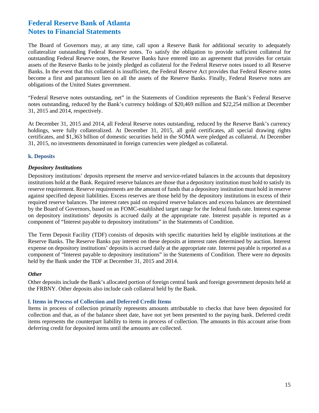The Board of Governors may, at any time, call upon a Reserve Bank for additional security to adequately collateralize outstanding Federal Reserve notes. To satisfy the obligation to provide sufficient collateral for outstanding Federal Reserve notes, the Reserve Banks have entered into an agreement that provides for certain assets of the Reserve Banks to be jointly pledged as collateral for the Federal Reserve notes issued to all Reserve Banks. In the event that this collateral is insufficient, the Federal Reserve Act provides that Federal Reserve notes become a first and paramount lien on all the assets of the Reserve Banks. Finally, Federal Reserve notes are obligations of the United States government.

"Federal Reserve notes outstanding, net" in the Statements of Condition represents the Bank's Federal Reserve notes outstanding, reduced by the Bank's currency holdings of \$20,469 million and \$22,254 million at December 31, 2015 and 2014, respectively.

At December 31, 2015 and 2014, all Federal Reserve notes outstanding, reduced by the Reserve Bank's currency holdings, were fully collateralized. At December 31, 2015, all gold certificates, all special drawing rights certificates, and \$1,363 billion of domestic securities held in the SOMA were pledged as collateral. At December 31, 2015, no investments denominated in foreign currencies were pledged as collateral.

### **k. Deposits**

### *Depository Institutions*

Depository institutions' deposits represent the reserve and service-related balances in the accounts that depository institutions hold at the Bank. Required reserve balances are those that a depository institution must hold to satisfy its reserve requirement. Reserve requirements are the amount of funds that a depository institution must hold in reserve against specified deposit liabilities. Excess reserves are those held by the depository institutions in excess of their required reserve balances. The interest rates paid on required reserve balances and excess balances are determined by the Board of Governors, based on an FOMC-established target range for the federal funds rate. Interest expense on depository institutions' deposits is accrued daily at the appropriate rate. Interest payable is reported as a component of "Interest payable to depository institutions" in the Statements of Condition.

The Term Deposit Facility (TDF) consists of deposits with specific maturities held by eligible institutions at the Reserve Banks. The Reserve Banks pay interest on these deposits at interest rates determined by auction. Interest expense on depository institutions' deposits is accrued daily at the appropriate rate. Interest payable is reported as a component of "Interest payable to depository institutions" in the Statements of Condition. There were no deposits held by the Bank under the TDF at December 31, 2015 and 2014.

### *Other*

Other deposits include the Bank's allocated portion of foreign central bank and foreign government deposits held at the FRBNY. Other deposits also include cash collateral held by the Bank.

### **l. Items in Process of Collection and Deferred Credit Items**

Items in process of collection primarily represents amounts attributable to checks that have been deposited for collection and that, as of the balance sheet date, have not yet been presented to the paying bank. Deferred credit items represents the counterpart liability to items in process of collection. The amounts in this account arise from deferring credit for deposited items until the amounts are collected.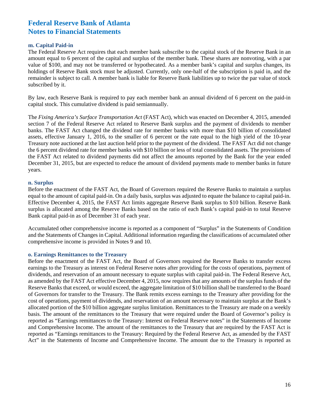#### **m. Capital Paid-in**

The Federal Reserve Act requires that each member bank subscribe to the capital stock of the Reserve Bank in an amount equal to 6 percent of the capital and surplus of the member bank. These shares are nonvoting, with a par value of \$100, and may not be transferred or hypothecated. As a member bank's capital and surplus changes, its holdings of Reserve Bank stock must be adjusted. Currently, only one-half of the subscription is paid in, and the remainder is subject to call. A member bank is liable for Reserve Bank liabilities up to twice the par value of stock subscribed by it.

By law, each Reserve Bank is required to pay each member bank an annual dividend of 6 percent on the paid-in capital stock. This cumulative dividend is paid semiannually.

The *Fixing America's Surface Transportation Act* (FAST Act), which was enacted on December 4, 2015, amended section 7 of the Federal Reserve Act related to Reserve Bank surplus and the payment of dividends to member banks. The FAST Act changed the dividend rate for member banks with more than \$10 billion of consolidated assets, effective January 1, 2016, to the smaller of 6 percent or the rate equal to the high yield of the 10-year Treasury note auctioned at the last auction held prior to the payment of the dividend. The FAST Act did not change the 6 percent dividend rate for member banks with \$10 billion or less of total consolidated assets. The provisions of the FAST Act related to dividend payments did not affect the amounts reported by the Bank for the year ended December 31, 2015, but are expected to reduce the amount of dividend payments made to member banks in future years.

#### **n. Surplus**

Before the enactment of the FAST Act, the Board of Governors required the Reserve Banks to maintain a surplus equal to the amount of capital paid-in. On a daily basis, surplus was adjusted to equate the balance to capital paid-in. Effective December 4, 2015, the FAST Act limits aggregate Reserve Bank surplus to \$10 billion. Reserve Bank surplus is allocated among the Reserve Banks based on the ratio of each Bank's capital paid-in to total Reserve Bank capital paid-in as of December 31 of each year.

Accumulated other comprehensive income is reported as a component of "Surplus" in the Statements of Condition and the Statements of Changes in Capital. Additional information regarding the classifications of accumulated other comprehensive income is provided in Notes 9 and 10.

#### **o. Earnings Remittances to the Treasury**

Before the enactment of the FAST Act, the Board of Governors required the Reserve Banks to transfer excess earnings to the Treasury as interest on Federal Reserve notes after providing for the costs of operations, payment of dividends, and reservation of an amount necessary to equate surplus with capital paid-in. The Federal Reserve Act, as amended by the FAST Act effective December 4, 2015, now requires that any amounts of the surplus funds of the Reserve Banks that exceed, or would exceed, the aggregate limitation of \$10 billion shall be transferred to the Board of Governors for transfer to the Treasury. The Bank remits excess earnings to the Treasury after providing for the cost of operations, payment of dividends, and reservation of an amount necessary to maintain surplus at the Bank's allocated portion of the \$10 billion aggregate surplus limitation. Remittances to the Treasury are made on a weekly basis. The amount of the remittances to the Treasury that were required under the Board of Governor's policy is reported as "Earnings remittances to the Treasury: Interest on Federal Reserve notes" in the Statements of Income and Comprehensive Income. The amount of the remittances to the Treasury that are required by the FAST Act is reported as "Earnings remittances to the Treasury: Required by the Federal Reserve Act, as amended by the FAST Act" in the Statements of Income and Comprehensive Income. The amount due to the Treasury is reported as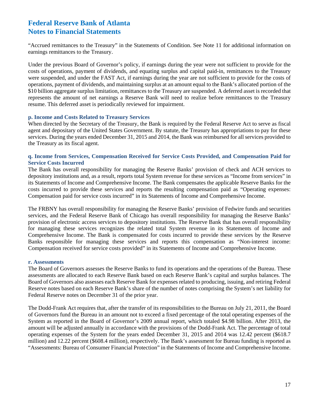"Accrued remittances to the Treasury" in the Statements of Condition. See Note 11 for additional information on earnings remittances to the Treasury.

Under the previous Board of Governor's policy, if earnings during the year were not sufficient to provide for the costs of operations, payment of dividends, and equating surplus and capital paid-in, remittances to the Treasury were suspended, and under the FAST Act, if earnings during the year are not sufficient to provide for the costs of operations, payment of dividends, and maintaining surplus at an amount equal to the Bank's allocated portion of the \$10 billion aggregate surplus limitation, remittances to the Treasury are suspended. A deferred asset is recorded that represents the amount of net earnings a Reserve Bank will need to realize before remittances to the Treasury resume. This deferred asset is periodically reviewed for impairment.

#### **p. Income and Costs Related to Treasury Services**

When directed by the Secretary of the Treasury, the Bank is required by the Federal Reserve Act to serve as fiscal agent and depositary of the United States Government. By statute, the Treasury has appropriations to pay for these services. During the years ended December 31, 2015 and 2014, the Bank was reimbursed for all services provided to the Treasury as its fiscal agent.

### **q. Income from Services, Compensation Received for Service Costs Provided, and Compensation Paid for Service Costs Incurred**

The Bank has overall responsibility for managing the Reserve Banks' provision of check and ACH services to depository institutions and, as a result, reports total System revenue for these services as "Income from services" in its Statements of Income and Comprehensive Income. The Bank compensates the applicable Reserve Banks for the costs incurred to provide these services and reports the resulting compensation paid as "Operating expenses: Compensation paid for service costs incurred" in its Statements of Income and Comprehensive Income.

The FRBNY has overall responsibility for managing the Reserve Banks' provision of Fedwire funds and securities services, and the Federal Reserve Bank of Chicago has overall responsibility for managing the Reserve Banks' provision of electronic access services to depository institutions. The Reserve Bank that has overall responsibility for managing these services recognizes the related total System revenue in its Statements of Income and Comprehensive Income. The Bank is compensated for costs incurred to provide these services by the Reserve Banks responsible for managing these services and reports this compensation as "Non-interest income: Compensation received for service costs provided" in its Statements of Income and Comprehensive Income.

### **r. Assessments**

The Board of Governors assesses the Reserve Banks to fund its operations and the operations of the Bureau. These assessments are allocated to each Reserve Bank based on each Reserve Bank's capital and surplus balances. The Board of Governors also assesses each Reserve Bank for expenses related to producing, issuing, and retiring Federal Reserve notes based on each Reserve Bank's share of the number of notes comprising the System's net liability for Federal Reserve notes on December 31 of the prior year.

The Dodd-Frank Act requires that, after the transfer of its responsibilities to the Bureau on July 21, 2011, the Board of Governors fund the Bureau in an amount not to exceed a fixed percentage of the total operating expenses of the System as reported in the Board of Governor's 2009 annual report, which totaled \$4.98 billion. After 2013, the amount will be adjusted annually in accordance with the provisions of the Dodd-Frank Act. The percentage of total operating expenses of the System for the years ended December 31, 2015 and 2014 was 12.42 percent (\$618.7 million) and 12.22 percent (\$608.4 million), respectively. The Bank's assessment for Bureau funding is reported as "Assessments: Bureau of Consumer Financial Protection" in the Statements of Income and Comprehensive Income.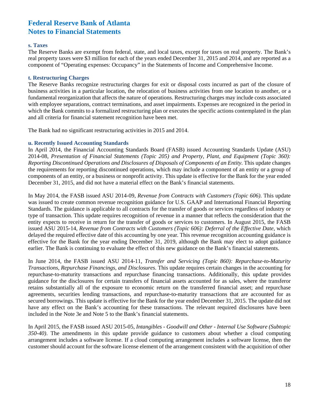#### **s. Taxes**

The Reserve Banks are exempt from federal, state, and local taxes, except for taxes on real property. The Bank's real property taxes were \$3 million for each of the years ended December 31, 2015 and 2014, and are reported as a component of "Operating expenses: Occupancy" in the Statements of Income and Comprehensive Income.

#### **t. Restructuring Charges**

The Reserve Banks recognize restructuring charges for exit or disposal costs incurred as part of the closure of business activities in a particular location, the relocation of business activities from one location to another, or a fundamental reorganization that affects the nature of operations. Restructuring charges may include costs associated with employee separations, contract terminations, and asset impairments. Expenses are recognized in the period in which the Bank commits to a formalized restructuring plan or executes the specific actions contemplated in the plan and all criteria for financial statement recognition have been met.

The Bank had no significant restructuring activities in 2015 and 2014.

#### **u. Recently Issued Accounting Standards**

In April 2014, the Financial Accounting Standards Board (FASB) issued Accounting Standards Update (ASU) 2014-08, *Presentation of Financial Statements (Topic 205) and Property, Plant, and Equipment (Topic 360): Reporting Discontinued Operations and Disclosures of Disposals of Components of an Entity*. This update changes the requirements for reporting discontinued operations, which may include a component of an entity or a group of components of an entity, or a business or nonprofit activity. This update is effective for the Bank for the year ended December 31, 2015, and did not have a material effect on the Bank's financial statements.

In May 2014, the FASB issued ASU 2014-09, *Revenue from Contracts with Customers (Topic 606)*. This update was issued to create common revenue recognition guidance for U.S. GAAP and International Financial Reporting Standards. The guidance is applicable to all contracts for the transfer of goods or services regardless of industry or type of transaction. This update requires recognition of revenue in a manner that reflects the consideration that the entity expects to receive in return for the transfer of goods or services to customers. In August 2015, the FASB issued ASU 2015-14, *Revenue from Contracts with Customers (Topic 606): Deferral of the Effective Date*, which delayed the required effective date of this accounting by one year. This revenue recognition accounting guidance is effective for the Bank for the year ending December 31, 2019, although the Bank may elect to adopt guidance earlier. The Bank is continuing to evaluate the effect of this new guidance on the Bank's financial statements.

In June 2014, the FASB issued ASU 2014-11, *Transfer and Servicing (Topic 860): Repurchase-to-Maturity Transactions, Repurchase Financings, and Disclosures*. This update requires certain changes in the accounting for repurchase-to-maturity transactions and repurchase financing transactions. Additionally, this update provides guidance for the disclosures for certain transfers of financial assets accounted for as sales, where the transferor retains substantially all of the exposure to economic return on the transferred financial asset; and repurchase agreements, securities lending transactions, and repurchase-to-maturity transactions that are accounted for as secured borrowings. This update is effective for the Bank for the year ended December 31, 2015. The update did not have any effect on the Bank's accounting for these transactions. The relevant required disclosures have been included in the Note 3e and Note 5 to the Bank's financial statements.

In April 2015, the FASB issued ASU 2015-05, *Intangibles - Goodwill and Other - Internal Use Software (Subtopic 350-40)*. The amendments in this update provide guidance to customers about whether a cloud computing arrangement includes a software license. If a cloud computing arrangement includes a software license, then the customer should account for the software license element of the arrangement consistent with the acquisition of other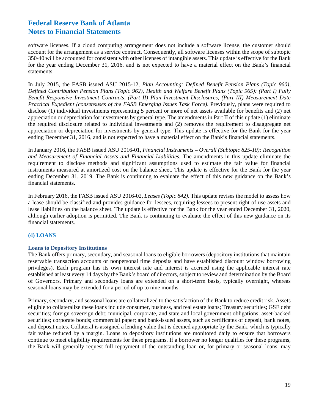software licenses. If a cloud computing arrangement does not include a software license, the customer should account for the arrangement as a service contract. Consequently, all software licenses within the scope of subtopic 350-40 will be accounted for consistent with other licenses of intangible assets. This update is effective for the Bank for the year ending December 31, 2016, and is not expected to have a material effect on the Bank's financial statements.

In July 2015, the FASB issued ASU 2015-12*, Plan Accounting: Defined Benefit Pension Plans (Topic 960), Defined Contribution Pension Plans (Topic 962), Health and Welfare Benefit Plans (Topic 965): (Part I) Fully Benefit-Responsive Investment Contracts, (Part II) Plan Investment Disclosures, (Part III) Measurement Date Practical Expedient (consensuses of the FASB Emerging Issues Task Force)*. Previously, plans were required to disclose (1) individual investments representing 5 percent or more of net assets available for benefits and (2) net appreciation or depreciation for investments by general type. The amendments in Part II of this update (1) eliminate the required disclosure related to individual investments and (2) removes the requirement to disaggregate net appreciation or depreciation for investments by general type. This update is effective for the Bank for the year ending December 31, 2016, and is not expected to have a material effect on the Bank's financial statements.

In January 2016, the FASB issued ASU 2016-01, *Financial Instruments – Overall (Subtopic 825-10): Recognition and Measurement of Financial Assets and Financial Liabilities.* The amendments in this update eliminate the requirement to disclose methods and significant assumptions used to estimate the fair value for financial instruments measured at amortized cost on the balance sheet. This update is effective for the Bank for the year ending December 31, 2019. The Bank is continuing to evaluate the effect of this new guidance on the Bank's financial statements.

In February 2016, the FASB issued ASU 2016-02, *Leases (Topic 842)*. This update revises the model to assess how a lease should be classified and provides guidance for lessees, requiring lessees to present right-of-use assets and lease liabilities on the balance sheet. The update is effective for the Bank for the year ended December 31, 2020, although earlier adoption is permitted. The Bank is continuing to evaluate the effect of this new guidance on its financial statements.

### **(4) LOANS**

### **Loans to Depository Institutions**

The Bank offers primary, secondary, and seasonal loans to eligible borrowers (depository institutions that maintain reservable transaction accounts or nonpersonal time deposits and have established discount window borrowing privileges). Each program has its own interest rate and interest is accrued using the applicable interest rate established at least every 14 days by the Bank's board of directors, subject to review and determination by the Board of Governors. Primary and secondary loans are extended on a short-term basis, typically overnight, whereas seasonal loans may be extended for a period of up to nine months.

Primary, secondary, and seasonal loans are collateralized to the satisfaction of the Bank to reduce credit risk. Assets eligible to collateralize these loans include consumer, business, and real estate loans; Treasury securities; GSE debt securities; foreign sovereign debt; municipal, corporate, and state and local government obligations; asset-backed securities; corporate bonds; commercial paper; and bank-issued assets, such as certificates of deposit, bank notes, and deposit notes. Collateral is assigned a lending value that is deemed appropriate by the Bank, which is typically fair value reduced by a margin. Loans to depository institutions are monitored daily to ensure that borrowers continue to meet eligibility requirements for these programs. If a borrower no longer qualifies for these programs, the Bank will generally request full repayment of the outstanding loan or, for primary or seasonal loans, may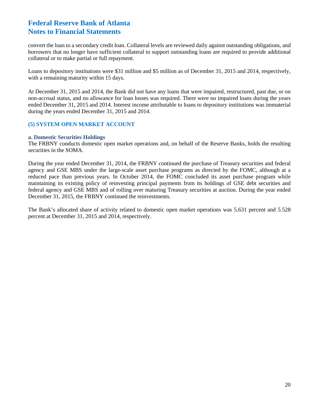convert the loan to a secondary credit loan. Collateral levels are reviewed daily against outstanding obligations, and borrowers that no longer have sufficient collateral to support outstanding loans are required to provide additional collateral or to make partial or full repayment.

Loans to depository institutions were \$31 million and \$5 million as of December 31, 2015 and 2014, respectively, with a remaining maturity within 15 days.

At December 31, 2015 and 2014, the Bank did not have any loans that were impaired, restructured, past due, or on non-accrual status, and no allowance for loan losses was required. There were no impaired loans during the years ended December 31, 2015 and 2014. Interest income attributable to loans to depository institutions was immaterial during the years ended December 31, 2015 and 2014.

### **(5) SYSTEM OPEN MARKET ACCOUNT**

#### **a. Domestic Securities Holdings**

The FRBNY conducts domestic open market operations and, on behalf of the Reserve Banks, holds the resulting securities in the SOMA.

During the year ended December 31, 2014, the FRBNY continued the purchase of Treasury securities and federal agency and GSE MBS under the large-scale asset purchase programs as directed by the FOMC, although at a reduced pace than previous years. In October 2014, the FOMC concluded its asset purchase program while maintaining its existing policy of reinvesting principal payments from its holdings of GSE debt securities and federal agency and GSE MBS and of rolling over maturing Treasury securities at auction. During the year ended December 31, 2015, the FRBNY continued the reinvestments.

The Bank's allocated share of activity related to domestic open market operations was 5.631 percent and 5.528 percent at December 31, 2015 and 2014, respectively.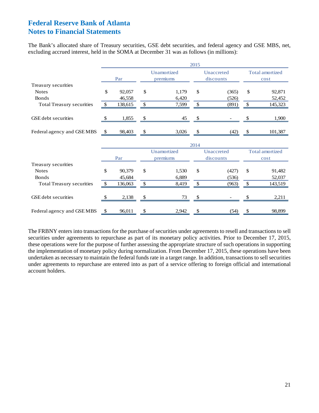The Bank's allocated share of Treasury securities, GSE debt securities, and federal agency and GSE MBS, net, excluding accrued interest, held in the SOMA at December 31 was as follows (in millions):

|                                  |     |         |              |                         | 2015          |                         |               |                         |
|----------------------------------|-----|---------|--------------|-------------------------|---------------|-------------------------|---------------|-------------------------|
|                                  |     | Par     |              | Unamortized<br>premiums |               | Unaccreted<br>discounts |               | Total amortized<br>cost |
| Treasury securities              |     |         |              |                         |               |                         |               |                         |
| <b>Notes</b>                     | \$  | 92,057  | \$           | 1,179                   | \$            | (365)                   | \$            | 92,871                  |
| <b>Bonds</b>                     |     | 46,558  |              | 6,420                   |               | (526)                   |               | 52,452                  |
| <b>Total Treasury securities</b> | -S  | 138,615 | \$           | 7,599                   | \$            | (891)                   | \$            | 145,323                 |
| GSE debt securities              | -S  | 1,855   | $\mathbb{S}$ | 45                      | \$            |                         |               | 1,900                   |
| Federal agency and GSE MBS       | \$  | 98,403  | \$           | 3,026                   | \$            | (42)                    | <sup>\$</sup> | 101,387                 |
|                                  |     |         |              | 2014                    |               |                         |               |                         |
|                                  |     |         |              | Unamortized             |               | Unaccreted              |               | <b>Total amortized</b>  |
|                                  |     | Par     |              | premiums                |               | discounts               |               | cost                    |
| Treasury securities              |     |         |              |                         |               |                         |               |                         |
| <b>Notes</b>                     | \$  | 90,379  | \$           | 1,530                   | \$            | (427)                   | \$            | 91,482                  |
| <b>Bonds</b>                     |     | 45,684  |              | 6,889                   |               | (536)                   |               | 52,037                  |
| <b>Total Treasury securities</b> | -\$ | 136,063 | \$           | 8,419                   | $\mathcal{S}$ | (963)                   | \$            | 143,519                 |
| <b>GSE</b> debt securities       |     | 2,138   |              | 73                      |               |                         |               | 2,211                   |
| Federal agency and GSE MBS       | \$  | 96,011  | \$           | 2,942                   | \$            | (54)                    | \$            | 98,899                  |

The FRBNY enters into transactions for the purchase of securities under agreements to resell and transactions to sell securities under agreements to repurchase as part of its monetary policy activities. Prior to December 17, 2015, these operations were for the purpose of further assessing the appropriate structure of such operations in supporting the implementation of monetary policy during normalization. From December 17, 2015, these operations have been undertaken as necessary to maintain the federal funds rate in a target range. In addition, transactions to sell securities under agreements to repurchase are entered into as part of a service offering to foreign official and international account holders.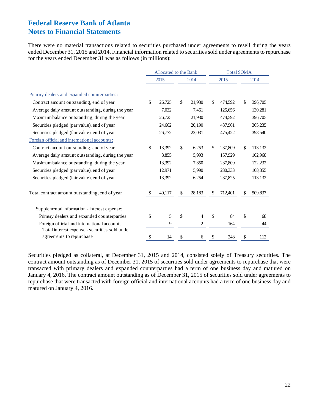There were no material transactions related to securities purchased under agreements to resell during the years ended December 31, 2015 and 2014. Financial information related to securities sold under agreements to repurchase for the years ended December 31 was as follows (in millions):

|                                                                                               |              | Allocated to the Bank |               |                |    | <b>Total SOMA</b> |     |         |  |  |
|-----------------------------------------------------------------------------------------------|--------------|-----------------------|---------------|----------------|----|-------------------|-----|---------|--|--|
|                                                                                               |              | 2015                  |               | 2014           |    | 2015              |     | 2014    |  |  |
| Primary dealers and expanded counterparties:                                                  |              |                       |               |                |    |                   |     |         |  |  |
| Contract amount outstanding, end of year                                                      | \$           | 26,725                | $\mathbb{S}$  | 21,930         | \$ | 474,592           | \$  | 396,705 |  |  |
| Average daily amount outstanding, during the year                                             |              | 7,032                 |               | 7,461          |    | 125,656           |     | 130,281 |  |  |
| Maximum balance outstanding, during the year                                                  |              | 26,725                |               | 21,930         |    | 474,592           |     | 396,705 |  |  |
| Securities pledged (par value), end of year                                                   |              | 24,662                |               | 20,190         |    | 437,961           |     | 365,235 |  |  |
| Securities pledged (fair value), end of year                                                  |              | 26,772                |               | 22,031         |    | 475,422           |     | 398,540 |  |  |
| Foreign official and international accounts:                                                  |              |                       |               |                |    |                   |     |         |  |  |
| Contract amount outstanding, end of year                                                      | $\mathbb{S}$ | 13,392                | \$            | 6,253          | \$ | 237,809           | \$  | 113,132 |  |  |
| Average daily amount outstanding, during the year                                             |              | 8,855                 |               | 5,993          |    | 157,929           |     | 102,968 |  |  |
| Maximum balance outstanding, during the year                                                  |              | 13,392                |               | 7,850          |    | 237,809           |     | 122,232 |  |  |
| Securities pledged (par value), end of year                                                   |              | 12,971                |               | 5,990          |    | 230,333           |     | 108,355 |  |  |
| Securities pledged (fair value), end of year                                                  |              | 13,392                |               | 6,254          |    | 237,825           |     | 113,132 |  |  |
| Total contract amount outstanding, end of year                                                |              | 40,117                | <sup>\$</sup> | 28,183         | S  | 712,401           | \$. | 509,837 |  |  |
| Supplemental information - interest expense:                                                  |              |                       |               |                |    |                   |     |         |  |  |
| Primary dealers and expanded counterparties                                                   | \$           | 5                     | \$            | $\overline{4}$ | \$ | 84                | \$  | 68      |  |  |
| Foreign official and international accounts<br>Total interest expense - securities sold under |              | 9                     |               | 2              |    | 164               |     | 44      |  |  |
| agreements to repurchase                                                                      | \$           | 14                    | \$            | 6              | \$ | 248               | \$  | 112     |  |  |

Securities pledged as collateral, at December 31, 2015 and 2014, consisted solely of Treasury securities. The contract amount outstanding as of December 31, 2015 of securities sold under agreements to repurchase that were transacted with primary dealers and expanded counterparties had a term of one business day and matured on January 4, 2016. The contract amount outstanding as of December 31, 2015 of securities sold under agreements to repurchase that were transacted with foreign official and international accounts had a term of one business day and matured on January 4, 2016.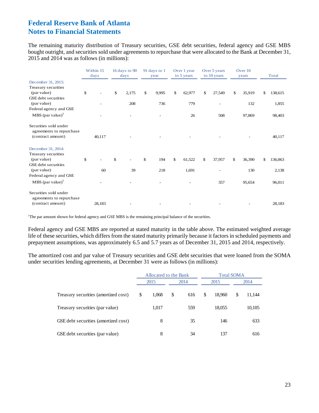The remaining maturity distribution of Treasury securities, GSE debt securities, federal agency and GSE MBS bought outright, and securities sold under agreements to repurchase that were allocated to the Bank at December 31, 2015 and 2014 was as follows (in millions):

|                                                   | Within 15<br>days | 16 days to 90<br>91 days to 1<br>Over 1 year<br>Over 5 years<br>to 10 years<br>to 5 years<br>days<br>year |       |             | Over 10<br>years |    | Total  |    |        |               |
|---------------------------------------------------|-------------------|-----------------------------------------------------------------------------------------------------------|-------|-------------|------------------|----|--------|----|--------|---------------|
| December 31, 2015:                                |                   |                                                                                                           |       |             |                  |    |        |    |        |               |
| Treasury securities                               |                   |                                                                                                           |       |             |                  |    |        |    |        |               |
| (par value)<br><b>GSE</b> debt securities         | \$                | \$                                                                                                        | 2,175 | \$<br>9,995 | \$<br>62,977     | \$ | 27,549 | \$ | 35,919 | \$<br>138,615 |
| (par value)                                       |                   |                                                                                                           | 208   | 736         | 779              |    |        |    | 132    | 1,855         |
| Federal agency and GSE                            |                   |                                                                                                           |       |             |                  |    |        |    |        |               |
| $MBS$ (par value) <sup>1</sup>                    |                   |                                                                                                           |       |             | 26               |    | 508    |    | 97,869 | 98,403        |
| Securities sold under<br>agreements to repurchase |                   |                                                                                                           |       |             |                  |    |        |    |        |               |
| (contract amount)                                 | 40,117            |                                                                                                           |       |             |                  |    |        |    |        | 40,117        |
| December 31, 2014:                                |                   |                                                                                                           |       |             |                  |    |        |    |        |               |
| Treasury securities                               |                   |                                                                                                           |       |             |                  |    |        |    |        |               |
| (par value)<br><b>GSE</b> debt securities         | \$                | \$                                                                                                        |       | \$<br>194   | \$<br>61,522     | \$ | 37,957 | \$ | 36,390 | \$<br>136,063 |
| (par value)                                       | 60                |                                                                                                           | 39    | 218         | 1,691            |    |        |    | 130    | 2,138         |
| Federal agency and GSE                            |                   |                                                                                                           |       |             |                  |    |        |    |        |               |
| $MBS$ (par value) <sup>1</sup>                    |                   |                                                                                                           |       |             |                  |    | 357    |    | 95,654 | 96,011        |
| Securities sold under                             |                   |                                                                                                           |       |             |                  |    |        |    |        |               |
| agreements to repurchase<br>(contract amount)     | 28,183            |                                                                                                           |       |             |                  |    |        |    |        | 28,183        |

<sup>1</sup>The par amount shown for federal agency and GSE MBS is the remaining principal balance of the securities.

Federal agency and GSE MBS are reported at stated maturity in the table above. The estimated weighted average life of these securities, which differs from the stated maturity primarily because it factors in scheduled payments and prepayment assumptions, was approximately 6.5 and 5.7 years as of December 31, 2015 and 2014, respectively.

The amortized cost and par value of Treasury securities and GSE debt securities that were loaned from the SOMA under securities lending agreements, at December 31 were as follows (in millions):

|                                      | Allocated to the Bank |           |              |                   |        |
|--------------------------------------|-----------------------|-----------|--------------|-------------------|--------|
|                                      | 2015                  | 2014      | 2015         |                   | 2014   |
| Treasury securities (amortized cost) | \$<br>1,068           | \$<br>616 | \$<br>18.960 | \$                | 11,144 |
| Treasury securities (par value)      | 1,017                 | 559       | 18,055       |                   | 10,105 |
| GSE debt securities (amortized cost) | 8                     | 35        | 146          |                   | 633    |
| GSE debt securities (par value)      | 8                     | 34        | 137          | <b>Total SOMA</b> | 616    |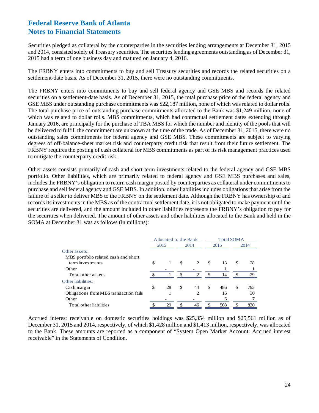Securities pledged as collateral by the counterparties in the securities lending arrangements at December 31, 2015 and 2014, consisted solely of Treasury securities. The securities lending agreements outstanding as of December 31, 2015 had a term of one business day and matured on January 4, 2016.

The FRBNY enters into commitments to buy and sell Treasury securities and records the related securities on a settlement-date basis. As of December 31, 2015, there were no outstanding commitments.

The FRBNY enters into commitments to buy and sell federal agency and GSE MBS and records the related securities on a settlement-date basis. As of December 31, 2015, the total purchase price of the federal agency and GSE MBS under outstanding purchase commitments was \$22,187 million, none of which was related to dollar rolls. The total purchase price of outstanding purchase commitments allocated to the Bank was \$1,249 million, none of which was related to dollar rolls. MBS commitments, which had contractual settlement dates extending through January 2016, are principally for the purchase of TBA MBS for which the number and identity of the pools that will be delivered to fulfill the commitment are unknown at the time of the trade. As of December 31, 2015, there were no outstanding sales commitments for federal agency and GSE MBS. These commitments are subject to varying degrees of off-balance-sheet market risk and counterparty credit risk that result from their future settlement. The FRBNY requires the posting of cash collateral for MBS commitments as part of its risk management practices used to mitigate the counterparty credit risk.

Other assets consists primarily of cash and short-term investments related to the federal agency and GSE MBS portfolio. Other liabilities, which are primarily related to federal agency and GSE MBS purchases and sales, includes the FRBNY's obligation to return cash margin posted by counterparties as collateral under commitments to purchase and sell federal agency and GSE MBS. In addition, other liabilities includes obligations that arise from the failure of a seller to deliver MBS to the FRBNY on the settlement date. Although the FRBNY has ownership of and records its investments in the MBS as of the contractual settlement date, it is not obligated to make payment until the securities are delivered, and the amount included in other liabilities represents the FRBNY's obligation to pay for the securities when delivered. The amount of other assets and other liabilities allocated to the Bank and held in the SOMA at December 31 was as follows (in millions):

|                                        | Allocated to the Bank |                     | <b>Total SOMA</b> |      |    |      |  |
|----------------------------------------|-----------------------|---------------------|-------------------|------|----|------|--|
|                                        | 2015                  | 2014                |                   | 2015 |    | 2014 |  |
| Other assets:                          |                       |                     |                   |      |    |      |  |
| MBS portfolio related cash and short   |                       |                     |                   |      |    |      |  |
| term investments                       | \$                    | \$<br>2             | S.                | 13   | \$ | 28   |  |
| Other                                  |                       |                     |                   |      |    |      |  |
| Total other assets                     |                       | \$<br>$\mathcal{L}$ | -\$               | 14   | S. | 29   |  |
| Other liabilities:                     |                       |                     |                   |      |    |      |  |
| Cash margin                            | \$<br>28              | \$<br>44            | \$                | 486  | \$ | 793  |  |
| Obligations from MBS transaction fails |                       | 2                   |                   | 16   |    | 30   |  |
| Other                                  |                       |                     |                   | 6    |    |      |  |
| Total other liabilities                | 29                    | \$<br>46            | \$                | 508  |    | 830  |  |

Accrued interest receivable on domestic securities holdings was \$25,354 million and \$25,561 million as of December 31, 2015 and 2014, respectively, of which \$1,428 million and \$1,413 million, respectively, was allocated to the Bank. These amounts are reported as a component of "System Open Market Account: Accrued interest receivable" in the Statements of Condition.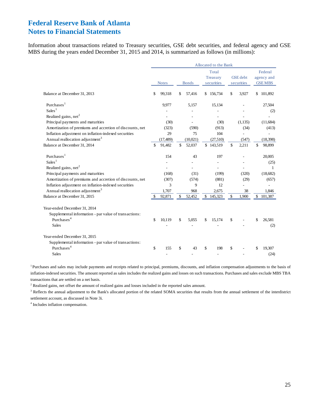Information about transactions related to Treasury securities, GSE debt securities, and federal agency and GSE MBS during the years ended December 31, 2015 and 2014, is summarized as follows (in millions):

|                                                                                                                                 |              |           |              |                                 | Allocated to the Bank |                               |         |                                        |
|---------------------------------------------------------------------------------------------------------------------------------|--------------|-----------|--------------|---------------------------------|-----------------------|-------------------------------|---------|----------------------------------------|
|                                                                                                                                 | <b>Notes</b> |           | <b>Bonds</b> | Total<br>Treasury<br>securities |                       | <b>GSE</b> debt<br>securities |         | Federal<br>agency and<br><b>GSEMBS</b> |
| Balance at December 31, 2013                                                                                                    | \$           | 99,318    | \$<br>57,416 | \$                              | 156,734               | \$                            | 3,927   | \$<br>101,892                          |
| Purchases <sup>1</sup>                                                                                                          |              | 9,977     | 5,157        |                                 | 15,134                |                               |         | 27,504                                 |
| Sales <sup>1</sup>                                                                                                              |              |           |              |                                 |                       |                               |         | (2)                                    |
| Realized gains, net <sup>2</sup>                                                                                                |              |           |              |                                 |                       |                               |         |                                        |
| Principal payments and maturities                                                                                               |              | (30)      |              |                                 | (30)                  |                               | (1,135) | (11,684)                               |
| Amortization of premiums and accretion of discounts, net                                                                        |              | (323)     | (590)        |                                 | (913)                 |                               | (34)    | (413)                                  |
| Inflation adjustment on inflation-indexed securities                                                                            |              | 29        | 75           |                                 | 104                   |                               |         |                                        |
| Annual reallocation adjustment <sup>3</sup>                                                                                     |              | (17, 489) | (10,021)     |                                 | (27,510)              |                               | (547)   | (18, 398)                              |
| Balance at December 31, 2014                                                                                                    | \$           | 91,482    | \$<br>52,037 |                                 | \$143,519             | \$                            | 2,211   | \$<br>98,899                           |
| Purchases $1$                                                                                                                   |              | 154       | 43           |                                 | 197                   |                               |         | 20,005                                 |
| Sales <sup>1</sup>                                                                                                              |              |           |              |                                 |                       |                               |         | (25)                                   |
| Realized gains, net <sup>2</sup>                                                                                                |              |           |              |                                 |                       |                               |         | -1                                     |
| Principal payments and maturities                                                                                               |              | (168)     | (31)         |                                 | (199)                 |                               | (320)   | (18,682)                               |
| Amortization of premiums and accretion of discounts, net                                                                        |              | (307)     | (574)        |                                 | (881)                 |                               | (29)    | (657)                                  |
| Inflation adjustment on inflation-indexed securities                                                                            |              | 3         | 9            |                                 | 12                    |                               |         |                                        |
| Annual reallocation adjustment <sup>3</sup>                                                                                     |              | 1,707     | 968          |                                 | 2,675                 |                               | 38      | 1,846                                  |
| Balance at December 31, 2015                                                                                                    |              | 92,871    | \$<br>52,452 | \$                              | 145,323               | \$                            | 1,900   | \$<br>101,387                          |
| Year-ended December 31, 2014<br>Supplemental information - par value of transactions:<br>Purchases <sup>4</sup><br><b>Sales</b> | \$           | 10,119    | \$<br>5,055  | S                               | 15,174                | \$                            |         | \$<br>26,581<br>(2)                    |
| Year-ended December 31, 2015<br>Supplemental information - par value of transactions:<br>Purchases <sup>4</sup><br><b>Sales</b> | \$           | 155       | \$<br>43     | \$                              | 198                   | \$                            |         | \$<br>19,307<br>(24)                   |

<sup>1</sup> Purchases and sales may include payments and receipts related to principal, premiums, discounts, and inflation compensation adjustments to the basis of inflation-indexed securities. The amount reported as sales includes the realized gains and losses on such transactions. Purchases and sales exclude MBS TBA transactions that are settled on a net basis.

<sup>2</sup> Realized gains, net offset the amount of realized gains and losses included in the reported sales amount.

<sup>3</sup> Reflects the annual adjustment to the Bank's allocated portion of the related SOMA securities that results from the annual settlement of the interdistrict settlement account, as discussed in Note 3i.

<sup>4</sup> Includes inflation compensation.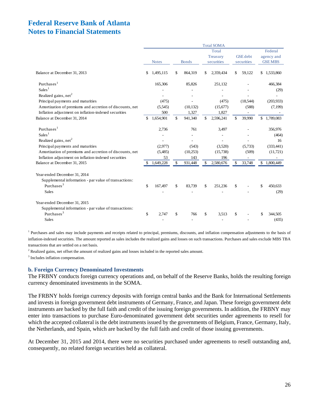|                                                          |     |              |               | <b>Total SOMA</b> |                 |                |
|----------------------------------------------------------|-----|--------------|---------------|-------------------|-----------------|----------------|
|                                                          |     |              |               | Total             |                 | Federal        |
|                                                          |     |              |               | Treasury          | <b>GSE</b> debt | agency and     |
|                                                          |     | <b>Notes</b> | <b>Bonds</b>  | securities        | securities      | <b>GSE MBS</b> |
| Balance at December 31, 2013                             | \$  | 1,495,115    | \$<br>864,319 | \$<br>2,359,434   | \$<br>59,122    | \$1,533,860    |
| Purchases <sup>1</sup>                                   |     | 165,306      | 85,826        | 251,132           |                 | 466,384        |
| Sales <sup>1</sup>                                       |     |              |               |                   |                 | (29)           |
| Realized gains, net <sup>2</sup>                         |     |              |               |                   |                 |                |
| Principal payments and maturities                        |     | (475)        |               | (475)             | (18,544)        | (203,933)      |
| Amortization of premiums and accretion of discounts, net |     | (5,545)      | (10, 132)     | (15,677)          | (588)           | (7, 199)       |
| Inflation adjustment on inflation-indexed securities     |     | 500          | 1,327         | 1,827             |                 |                |
| Balance at December 31, 2014                             | \$  | 1,654,901    | \$<br>941,340 | \$<br>2,596,241   | \$<br>39,990    | \$1,789,083    |
| Purchases $1$                                            |     | 2,736        | 761           | 3,497             |                 | 356,976        |
| Sales <sup>1</sup>                                       |     |              |               |                   |                 | (464)          |
| Realized gains, net <sup>2</sup>                         |     |              |               |                   |                 | 16             |
| Principal payments and maturities                        |     | (2,977)      | (543)         | (3,520)           | (5,733)         | (333, 441)     |
| Amortization of premiums and accretion of discounts, net |     | (5,485)      | (10,253)      | (15,738)          | (509)           | (11, 721)      |
| Inflation adjustment on inflation-indexed securities     |     | 53           | 143           | 196               |                 |                |
| Balance at December 31, 2015                             | -\$ | 1,649,228    | \$<br>931,448 | \$<br>2,580,676   | \$<br>33,748    | \$1,800,449    |
| Year-ended December 31, 2014                             |     |              |               |                   |                 |                |
| Supplemental information - par value of transactions:    |     |              |               |                   |                 |                |
| Purchases <sup>3</sup>                                   | \$  | 167,497      | \$<br>83,739  | \$<br>251,236     | \$              | \$<br>450,633  |
| <b>Sales</b>                                             |     |              |               |                   |                 | (29)           |
| Year-ended December 31, 2015                             |     |              |               |                   |                 |                |
| Supplemental information - par value of transactions:    |     |              |               |                   |                 |                |
| Purchases <sup>3</sup>                                   | \$  | 2,747        | \$<br>766     | \$<br>3,513       | \$              | 344,505        |
| <b>Sales</b>                                             |     |              |               |                   |                 | (435)          |

<sup>1</sup> Purchases and sales may include payments and receipts related to principal, premiums, discounts, and inflation compensation adjustments to the basis of inflation-indexed securities. The amount reported as sales includes the realized gains and losses on such transactions. Purchases and sales exclude MBS TBA transactions that are settled on a net basis.

<sup>2</sup> Realized gains, net offset the amount of realized gains and losses included in the reported sales amount.

<sup>3</sup> Includes inflation compensation.

#### **b. Foreign Currency Denominated Investments**

The FRBNY conducts foreign currency operations and, on behalf of the Reserve Banks, holds the resulting foreign currency denominated investments in the SOMA.

The FRBNY holds foreign currency deposits with foreign central banks and the Bank for International Settlements and invests in foreign government debt instruments of Germany, France, and Japan. These foreign government debt instruments are backed by the full faith and credit of the issuing foreign governments. In addition, the FRBNY may enter into transactions to purchase Euro-denominated government debt securities under agreements to resell for which the accepted collateral is the debt instruments issued by the governments of Belgium, France, Germany, Italy, the Netherlands, and Spain, which are backed by the full faith and credit of those issuing governments.

At December 31, 2015 and 2014, there were no securities purchased under agreements to resell outstanding and, consequently, no related foreign securities held as collateral.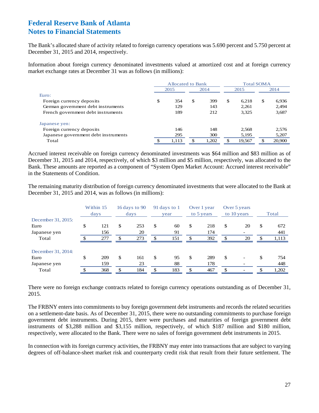The Bank's allocated share of activity related to foreign currency operations was 5.690 percent and 5.750 percent at December 31, 2015 and 2014, respectively.

Information about foreign currency denominated investments valued at amortized cost and at foreign currency market exchange rates at December 31 was as follows (in millions):

|                                      | <b>Allocated to Bank</b> |       |      |       | <b>Total SOMA</b> |        |    |        |
|--------------------------------------|--------------------------|-------|------|-------|-------------------|--------|----|--------|
|                                      | 2015                     |       | 2014 |       | 2015              |        |    | 2014   |
| Euro:                                |                          |       |      |       |                   |        |    |        |
| Foreign currency deposits            | \$                       | 354   | \$   | 399   | <sup>\$</sup>     | 6.218  | \$ | 6,936  |
| German government debt instruments   |                          | 129   |      | 143   |                   | 2,261  |    | 2,494  |
| French government debt instruments   |                          | 189   |      | 212   |                   | 3,325  |    | 3,687  |
| Japanese yen:                        |                          |       |      |       |                   |        |    |        |
| Foreign currency deposits            |                          | 146   |      | 148   |                   | 2,568  |    | 2,576  |
| Japanese government debt instruments |                          | 295   |      | 300   |                   | 5,195  |    | 5,207  |
| Total                                |                          | 1,113 | \$   | 1.202 | \$                | 19,567 |    | 20,900 |

Accrued interest receivable on foreign currency denominated investments was \$64 million and \$83 million as of December 31, 2015 and 2014, respectively, of which \$3 million and \$5 million, respectively, was allocated to the Bank. These amounts are reported as a component of "System Open Market Account: Accrued interest receivable" in the Statements of Condition.

The remaining maturity distribution of foreign currency denominated investments that were allocated to the Bank at December 31, 2015 and 2014, was as follows (in millions):

|                    |    | Within 15<br>days |    | 16 days to $90$<br>days | 91 days to 1<br>year |    | Over 1 year<br>to 5 years | Over 5 years<br>to 10 years | Total       |
|--------------------|----|-------------------|----|-------------------------|----------------------|----|---------------------------|-----------------------------|-------------|
| December 31, 2015: |    |                   |    |                         |                      |    |                           |                             |             |
| Euro               | \$ | 121               | \$ | 253                     | \$<br>60             | \$ | 218                       | \$<br>20                    | \$<br>672   |
| Japanese yen       |    | 156               |    | 20                      | 91                   |    | 174                       |                             | 441         |
| Total              | ¢  | 277               | £. | 273                     | \$<br>151            | \$ | 392                       | \$<br>20                    | \$<br>1,113 |
| December 31, 2014: |    |                   |    |                         |                      |    |                           |                             |             |
| Euro               | \$ | 209               | \$ | 161                     | \$<br>95             | \$ | 289                       | \$                          | \$<br>754   |
| Japanese yen       |    | 159               |    | 23                      | 88                   |    | 178                       |                             | 448         |
| Total              |    | 368               | ¢  | 184                     | \$<br>183            | S. | 467                       | \$                          | 1,202       |

There were no foreign exchange contracts related to foreign currency operations outstanding as of December 31, 2015.

The FRBNY enters into commitments to buy foreign government debt instruments and records the related securities on a settlement-date basis. As of December 31, 2015, there were no outstanding commitments to purchase foreign government debt instruments. During 2015, there were purchases and maturities of foreign government debt instruments of \$3,288 million and \$3,155 million, respectively, of which \$187 million and \$180 million, respectively, were allocated to the Bank. There were no sales of foreign government debt instruments in 2015.

In connection with its foreign currency activities, the FRBNY may enter into transactions that are subject to varying degrees of off-balance-sheet market risk and counterparty credit risk that result from their future settlement. The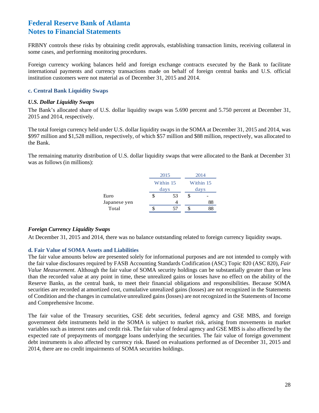FRBNY controls these risks by obtaining credit approvals, establishing transaction limits, receiving collateral in some cases, and performing monitoring procedures.

Foreign currency working balances held and foreign exchange contracts executed by the Bank to facilitate international payments and currency transactions made on behalf of foreign central banks and U.S. official institution customers were not material as of December 31, 2015 and 2014.

### **c. Central Bank Liquidity Swaps**

### *U.S. Dollar Liquidity Swaps*

The Bank's allocated share of U.S. dollar liquidity swaps was 5.690 percent and 5.750 percent at December 31, 2015 and 2014, respectively.

The total foreign currency held under U.S. dollar liquidity swaps in the SOMA at December 31, 2015 and 2014, was \$997 million and \$1,528 million, respectively, of which \$57 million and \$88 million, respectively, was allocated to the Bank.

The remaining maturity distribution of U.S. dollar liquidity swaps that were allocated to the Bank at December 31 was as follows (in millions):

|              |   | 2015              | 2014              |    |  |  |  |
|--------------|---|-------------------|-------------------|----|--|--|--|
|              |   | Within 15<br>days | Within 15<br>days |    |  |  |  |
| Euro         | S | 53                | \$                |    |  |  |  |
| Japanese yen |   |                   |                   | 88 |  |  |  |
| Total        |   |                   |                   |    |  |  |  |

### *Foreign Currency Liquidity Swaps*

At December 31, 2015 and 2014, there was no balance outstanding related to foreign currency liquidity swaps.

### **d. Fair Value of SOMA Assets and Liabilities**

The fair value amounts below are presented solely for informational purposes and are not intended to comply with the fair value disclosures required by FASB Accounting Standards Codification (ASC) Topic 820 (ASC 820), *Fair Value Measurement*. Although the fair value of SOMA security holdings can be substantially greater than or less than the recorded value at any point in time, these unrealized gains or losses have no effect on the ability of the Reserve Banks, as the central bank, to meet their financial obligations and responsibilities. Because SOMA securities are recorded at amortized cost, cumulative unrealized gains (losses) are not recognized in the Statements of Condition and the changes in cumulative unrealized gains (losses) are not recognized in the Statements of Income and Comprehensive Income.

The fair value of the Treasury securities, GSE debt securities, federal agency and GSE MBS, and foreign government debt instruments held in the SOMA is subject to market risk, arising from movements in market variables such as interest rates and credit risk. The fair value of federal agency and GSE MBS is also affected by the expected rate of prepayments of mortgage loans underlying the securities. The fair value of foreign government debt instruments is also affected by currency risk. Based on evaluations performed as of December 31, 2015 and 2014, there are no credit impairments of SOMA securities holdings.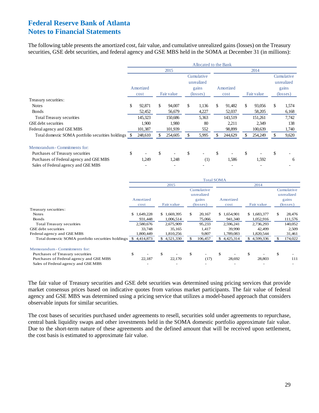The following table presents the amortized cost, fair value, and cumulative unrealized gains (losses) on the Treasury securities, GSE debt securities, and federal agency and GSE MBS held in the SOMA at December 31 (in millions):

|                                                   | Allocated to the Bank |           |    |            |    |                   |    |           |    |            |    |                   |
|---------------------------------------------------|-----------------------|-----------|----|------------|----|-------------------|----|-----------|----|------------|----|-------------------|
|                                                   |                       |           |    | 2015       |    |                   |    |           |    | 2014       |    |                   |
|                                                   |                       |           |    |            |    | Cumulative        |    |           |    |            |    | Cumulative        |
|                                                   |                       |           |    |            |    | unrealized        |    |           |    |            |    | unrealized        |
|                                                   |                       | Amortized |    |            |    | gains             |    | Amortized |    |            |    | gains             |
|                                                   |                       | cost      |    | Fair value |    | $(\text{losses})$ |    | cost      |    | Fair value |    | $(\text{losses})$ |
| Treasury securities:                              |                       |           |    |            |    |                   |    |           |    |            |    |                   |
| <b>Notes</b>                                      | \$                    | 92,871    | \$ | 94,007     | \$ | 1,136             | \$ | 91,482    | \$ | 93,056     | \$ | 1,574             |
| <b>Bonds</b>                                      |                       | 52,452    |    | 56,679     |    | 4,227             |    | 52,037    |    | 58,205     |    | 6,168             |
| Total Treasury securities                         |                       | 145,323   |    | 150,686    |    | 5,363             |    | 143,519   |    | 151,261    |    | 7,742             |
| GSE debt securities                               |                       | 1,900     |    | 1,980      |    | 80                |    | 2,211     |    | 2,349      |    | 138               |
| Federal agency and GSEMBS                         |                       | 101,387   |    | 101,939    |    | 552               |    | 98,899    |    | 100,639    |    | 1,740             |
| Total domestic SOMA portfolio securities holdings |                       | 248,610   |    | 254,605    | S  | 5,995             |    | 244,629   | S  | 254,249    | S  | 9,620             |
| Memorandum - Commitments for:                     |                       |           |    |            |    |                   |    |           |    |            |    |                   |
| Purchases of Treasury securities                  | \$                    |           | \$ |            | \$ |                   | \$ |           | \$ |            | \$ |                   |
| Purchases of Federal agency and GSE MBS           |                       | 1,249     |    | 1,248      |    | (1)               |    | 1,586     |    | 1,592      |    | 6                 |
| Sales of Federal agency and GSEMBS                |                       |           |    |            |    |                   |    |           |    |            |    |                   |

|                                                   | <b>Total SOMA</b> |             |    |             |    |                          |      |             |     |             |     |                          |
|---------------------------------------------------|-------------------|-------------|----|-------------|----|--------------------------|------|-------------|-----|-------------|-----|--------------------------|
|                                                   |                   |             |    | 2015        |    |                          | 2014 |             |     |             |     |                          |
|                                                   |                   |             |    |             |    | Cumulative<br>unrealized |      |             |     |             |     | Cumulative<br>unrealized |
|                                                   |                   | Amortized   |    |             |    | gains                    |      | Amortized   |     |             |     | gains                    |
|                                                   |                   | cost        |    | Fair value  |    | $(\text{losses})$        |      | cost        |     | Fair value  |     | $(\text{losses})$        |
| Treasury securities:                              |                   |             |    |             |    |                          |      |             |     |             |     |                          |
| <b>Notes</b>                                      |                   | \$1,649,228 |    | \$1,669,395 | \$ | 20,167                   |      | \$1,654,901 |     | \$1,683,377 | \$. | 28,476                   |
| Bonds                                             |                   | 931.448     |    | 1,006,514   |    | 75,066                   |      | 941,340     |     | 1,052,916   |     | 111,576                  |
| <b>Total Treasury securities</b>                  |                   | 2,580,676   |    | 2,675,909   |    | 95,233                   |      | 2,596,241   |     | 2,736,293   |     | 140,052                  |
| GSE debt securities                               |                   | 33,748      |    | 35,165      |    | 1,417                    |      | 39,990      |     | 42,499      |     | 2,509                    |
| Federal agency and GSE MBS                        |                   | 1,800,449   |    | 1,810,256   |    | 9,807                    |      | 1,789,083   |     | 1,820,544   |     | 31,461                   |
| Total domestic SOMA portfolio securities holdings |                   | \$4,414,873 |    | \$4,521,330 |    | 106,457                  |      | \$4,425,314 |     | \$4,599,336 |     | 174,022                  |
| Memorandum - Commitments for:                     |                   |             |    |             |    |                          |      |             |     |             |     |                          |
| Purchases of Treasury securities                  | \$                |             | \$ |             | \$ |                          | \$   |             | \$. |             | \$  |                          |
| Purchases of Federal agency and GSEMBS            |                   | 22,187      |    | 22,170      |    | (17)                     |      | 28,692      |     | 28,803      |     | 111                      |
| Sales of Federal agency and GSEMBS                |                   |             |    |             |    |                          |      |             |     |             |     |                          |

The fair value of Treasury securities and GSE debt securities was determined using pricing services that provide market consensus prices based on indicative quotes from various market participants. The fair value of federal agency and GSE MBS was determined using a pricing service that utilizes a model-based approach that considers observable inputs for similar securities.

The cost bases of securities purchased under agreements to resell, securities sold under agreements to repurchase, central bank liquidity swaps and other investments held in the SOMA domestic portfolio approximate fair value. Due to the short-term nature of these agreements and the defined amount that will be received upon settlement, the cost basis is estimated to approximate fair value.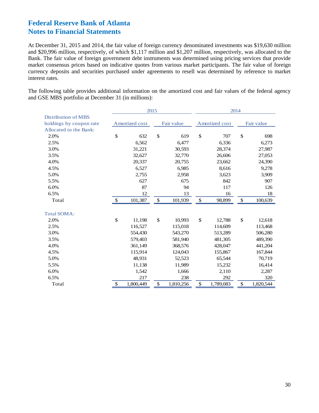At December 31, 2015 and 2014, the fair value of foreign currency denominated investments was \$19,630 million and \$20,996 million, respectively, of which \$1,117 million and \$1,207 million, respectively, was allocated to the Bank. The fair value of foreign government debt instruments was determined using pricing services that provide market consensus prices based on indicative quotes from various market participants. The fair value of foreign currency deposits and securities purchased under agreements to resell was determined by reference to market interest rates.

The following table provides additional information on the amortized cost and fair values of the federal agency and GSE MBS portfolio at December 31 (in millions):

|                            | 2015          |                |              |            |    | 2014           |               |            |  |  |  |
|----------------------------|---------------|----------------|--------------|------------|----|----------------|---------------|------------|--|--|--|
| <b>Distribution of MBS</b> |               |                |              |            |    |                |               |            |  |  |  |
| holdings by coupon rate    |               | Amortized cost |              | Fair value |    | Amortized cost |               | Fair value |  |  |  |
| Allocated to the Bank:     |               |                |              |            |    |                |               |            |  |  |  |
| 2.0%                       | \$            | 632            | \$           | 619        | \$ | 707            | $\mathcal{S}$ | 698        |  |  |  |
| 2.5%                       |               | 6,562          |              | 6,477      |    | 6,336          |               | 6,273      |  |  |  |
| 3.0%                       |               | 31,221         |              | 30,593     |    | 28,374         |               | 27,987     |  |  |  |
| 3.5%                       |               | 32,627         |              | 32,770     |    | 26,606         |               | 27,053     |  |  |  |
| 4.0%                       |               | 20,337         |              | 20,755     |    | 23,662         |               | 24,390     |  |  |  |
| 4.5%                       |               | 6,527          |              | 6,985      |    | 8,616          |               | 9,278      |  |  |  |
| 5.0%                       |               | 2,755          |              | 2,958      |    | 3,623          |               | 3,909      |  |  |  |
| 5.5%                       |               | 627            |              | 675        |    | 842            |               | 907        |  |  |  |
| 6.0%                       |               | 87             |              | 94         |    | 117            |               | 126        |  |  |  |
| 6.5%                       |               | 12             |              | 13         |    | 16             |               | 18         |  |  |  |
| Total                      | $\mathcal{S}$ | 101,387        | \$           | 101,939    | \$ | 98,899         | $\mathcal{S}$ | 100,639    |  |  |  |
| <b>Total SOMA:</b>         |               |                |              |            |    |                |               |            |  |  |  |
| 2.0%                       | \$            | 11,198         | $\mathbb{S}$ | 10,993     | \$ | 12,788         | \$            | 12,618     |  |  |  |
| 2.5%                       |               | 116,527        |              | 115,018    |    | 114,609        |               | 113,468    |  |  |  |
| 3.0%                       |               | 554,430        |              | 543,270    |    | 513,289        |               | 506,280    |  |  |  |
| 3.5%                       |               | 579,403        |              | 581,940    |    | 481,305        |               | 489,390    |  |  |  |
| 4.0%                       |               | 361,149        |              | 368,576    |    | 428,047        |               | 441,204    |  |  |  |
| 4.5%                       |               | 115,914        |              | 124,043    |    | 155,867        |               | 167,844    |  |  |  |
| 5.0%                       |               | 48,931         |              | 52,523     |    | 65,544         |               | 70,719     |  |  |  |
| 5.5%                       |               | 11,138         |              | 11,989     |    | 15,232         |               | 16,414     |  |  |  |
| 6.0%                       |               | 1,542          |              | 1,666      |    | 2,110          |               | 2,287      |  |  |  |
| 6.5%                       |               | 217            |              | 238        |    | 292            |               | 320        |  |  |  |
| Total                      | \$            | 1,800,449      | \$           | 1,810,256  | \$ | 1,789,083      | \$            | 1,820,544  |  |  |  |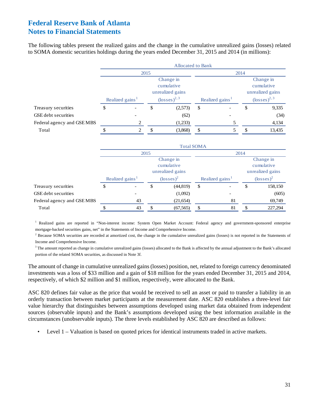The following tables present the realized gains and the change in the cumulative unrealized gains (losses) related to SOMA domestic securities holdings during the years ended December 31, 2015 and 2014 (in millions):

|                            |                             |                          |   | <b>Allocated to Bank</b>                                                          |                             |  |                                                                                   |        |  |  |
|----------------------------|-----------------------------|--------------------------|---|-----------------------------------------------------------------------------------|-----------------------------|--|-----------------------------------------------------------------------------------|--------|--|--|
|                            |                             | 2015                     |   |                                                                                   | 2014                        |  |                                                                                   |        |  |  |
|                            | Realized gains <sup>1</sup> |                          |   | Change in<br>cumulative<br>unrealized gains<br>$\left(\text{losses}\right)^{2,3}$ |                             |  | Change in<br>cumulative<br>unrealized gains<br>$\left(\text{losses}\right)^{2,3}$ |        |  |  |
|                            |                             |                          |   |                                                                                   | Realized gains <sup>1</sup> |  |                                                                                   |        |  |  |
| Treasury securities        | D                           | $\overline{\phantom{a}}$ | D | (2,573)                                                                           | $\mathbb{S}$                |  | S                                                                                 | 9,335  |  |  |
| GSE debt securities        |                             | $\overline{\phantom{a}}$ |   | (62)                                                                              |                             |  |                                                                                   | (34)   |  |  |
| Federal agency and GSE MBS |                             |                          |   | (1,233)                                                                           |                             |  |                                                                                   | 4,134  |  |  |
| Total                      |                             |                          |   | (3,868)                                                                           | S                           |  |                                                                                   | 13,435 |  |  |

|                            |                             |    | <b>Total SOMA</b>                           |                             |                                             |         |  |
|----------------------------|-----------------------------|----|---------------------------------------------|-----------------------------|---------------------------------------------|---------|--|
|                            | 2015                        |    |                                             |                             | 2014                                        |         |  |
|                            |                             |    | Change in<br>cumulative<br>unrealized gains |                             | Change in<br>cumulative<br>unrealized gains |         |  |
|                            | Realized gains <sup>1</sup> |    | $\left(\text{losses}\right)^2$              | Realized gains <sup>1</sup> | $(\text{losses})^2$                         |         |  |
| Treasury securities        | \$                          | \$ | (44, 819)                                   | \$                          | \$                                          | 158,150 |  |
| <b>GSE</b> debt securities |                             |    | (1,092)                                     |                             |                                             | (605)   |  |
| Federal agency and GSE MBS | 43                          |    | (21, 654)                                   | 81                          |                                             | 69,749  |  |
| Total                      | 43                          |    | (67, 565)                                   | 81                          |                                             | 227,294 |  |

<sup>1</sup> Realized gains are reported in "Non-interest income: System Open Market Account: Federal agency and government-sponsored enterprise mortgage-backed securities gains, net" in the Statements of Income and Comprehensive Income.

<sup>2</sup> Because SOMA securities are recorded at amortized cost, the change in the cumulative unrealized gains (losses) is not reported in the Statements of Income and Comprehensive Income.

 $3$  The amount reported as change in cumulative unrealized gains (losses) allocated to the Bank is affected by the annual adjustment to the Bank's allocated portion of the related SOMA securities, as discussed in Note 3f.

The amount of change in cumulative unrealized gains (losses) position, net, related to foreign currency denominated investments was a loss of \$33 million and a gain of \$18 million for the years ended December 31, 2015 and 2014, respectively, of which \$2 million and \$1 million, respectively, were allocated to the Bank.

ASC 820 defines fair value as the price that would be received to sell an asset or paid to transfer a liability in an orderly transaction between market participants at the measurement date. ASC 820 establishes a three-level fair value hierarchy that distinguishes between assumptions developed using market data obtained from independent sources (observable inputs) and the Bank's assumptions developed using the best information available in the circumstances (unobservable inputs). The three levels established by ASC 820 are described as follows:

• Level 1 – Valuation is based on quoted prices for identical instruments traded in active markets.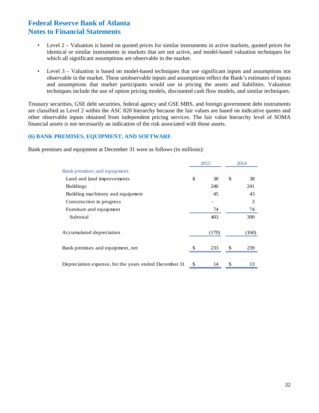- Level 2 Valuation is based on quoted prices for similar instruments in active markets, quoted prices for identical or similar instruments in markets that are not active, and model-based valuation techniques for which all significant assumptions are observable in the market.
- Level 3 Valuation is based on model-based techniques that use significant inputs and assumptions not observable in the market. These unobservable inputs and assumptions reflect the Bank's estimates of inputs and assumptions that market participants would use in pricing the assets and liabilities. Valuation techniques include the use of option pricing models, discounted cash flow models, and similar techniques.

Treasury securities, GSE debt securities, federal agency and GSE MBS, and foreign government debt instruments are classified as Level 2 within the ASC 820 hierarchy because the fair values are based on indicative quotes and other observable inputs obtained from independent pricing services. The fair value hierarchy level of SOMA financial assets is not necessarily an indication of the risk associated with those assets.

### **(6) BANK PREMISES, EQUIPMENT, AND SOFTWARE**

Bank premises and equipment at December 31 were as follows (in millions):

|                                                       | 2015     | 2014     |
|-------------------------------------------------------|----------|----------|
| Bank premises and equipment:                          |          |          |
| Land and land improvements                            | \$<br>38 | \$<br>38 |
| <b>Buildings</b>                                      | 246      | 241      |
| Building machinery and equipment                      | 45       | 43       |
| Construction in progress                              |          | 3        |
| Furniture and equipment                               | 74       | 74       |
| Subtotal                                              | 403      | 399      |
| Accumulated depreciation                              | (170)    | (160)    |
| Bank premises and equipment, net                      | 233      | 239      |
| Depreciation expense, for the years ended December 31 | \$<br>14 | \$<br>13 |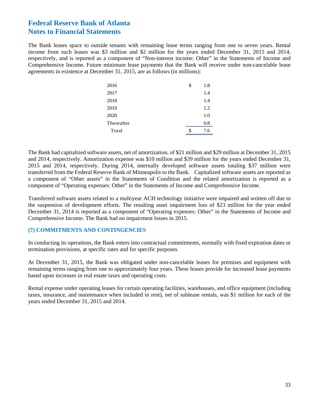The Bank leases space to outside tenants with remaining lease terms ranging from one to seven years. Rental income from such leases was \$3 million and \$2 million for the years ended December 31, 2015 and 2014, respectively, and is reported as a component of "Non-interest income: Other" in the Statements of Income and Comprehensive Income. Future minimum lease payments that the Bank will receive under non-cancelable lease agreements in existence at December 31, 2015, are as follows (in millions):

| 2016       | \$ | 1.8 |
|------------|----|-----|
| 2017       |    | 1.4 |
| 2018       |    | 1.4 |
| 2019       |    | 1.2 |
| 2020       |    | 1.0 |
| Thereafter |    | 0.8 |
| Total      | S  | 7.6 |
|            |    |     |

The Bank had capitalized software assets, net of amortization, of \$21 million and \$29 million at December 31, 2015 and 2014, respectively. Amortization expense was \$10 million and \$39 million for the years ended December 31, 2015 and 2014, respectively. During 2014, internally developed software assets totaling \$37 million were transferred from the Federal Reserve Bank of Minneapolis to the Bank. Capitalized software assets are reported as a component of "Other assets" in the Statements of Condition and the related amortization is reported as a component of "Operating expenses: Other" in the Statements of Income and Comprehensive Income.

Transferred software assets related to a multiyear ACH technology initiative were impaired and written off due to the suspension of development efforts. The resulting asset impairment loss of \$23 million for the year ended December 31, 2014 is reported as a component of "Operating expenses: Other" in the Statements of Income and Comprehensive Income. The Bank had no impairment losses in 2015.

### **(7) COMMITMENTS AND CONTINGENCIES**

In conducting its operations, the Bank enters into contractual commitments, normally with fixed expiration dates or termination provisions, at specific rates and for specific purposes.

At December 31, 2015, the Bank was obligated under non-cancelable leases for premises and equipment with remaining terms ranging from one to approximately four years. These leases provide for increased lease payments based upon increases in real estate taxes and operating costs.

Rental expense under operating leases for certain operating facilities, warehouses, and office equipment (including taxes, insurance, and maintenance when included in rent), net of sublease rentals, was \$1 million for each of the years ended December 31, 2015 and 2014.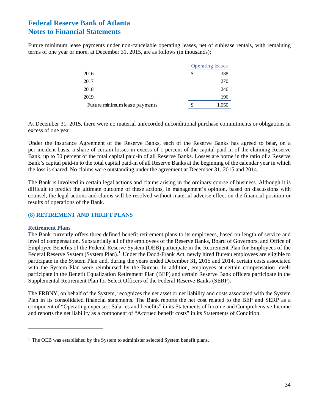Future minimum lease payments under non-cancelable operating leases, net of sublease rentals, with remaining terms of one year or more, at December 31, 2015, are as follows (in thousands):

|                               |   | <b>Operating leases</b> |
|-------------------------------|---|-------------------------|
| 2016                          | S | 338                     |
| 2017                          |   | 270                     |
| 2018                          |   | 246                     |
| 2019                          |   | 196                     |
| Future minimum lease payments | S | 1,050                   |

At December 31, 2015, there were no material unrecorded unconditional purchase commitments or obligations in excess of one year.

Under the Insurance Agreement of the Reserve Banks, each of the Reserve Banks has agreed to bear, on a per-incident basis, a share of certain losses in excess of 1 percent of the capital paid-in of the claiming Reserve Bank, up to 50 percent of the total capital paid-in of all Reserve Banks. Losses are borne in the ratio of a Reserve Bank's capital paid-in to the total capital paid-in of all Reserve Banks at the beginning of the calendar year in which the loss is shared. No claims were outstanding under the agreement at December 31, 2015 and 2014.

The Bank is involved in certain legal actions and claims arising in the ordinary course of business. Although it is difficult to predict the ultimate outcome of these actions, in management's opinion, based on discussions with counsel, the legal actions and claims will be resolved without material adverse effect on the financial position or results of operations of the Bank.

### **(8) RETIREMENT AND THRIFT PLANS**

#### **Retirement Plans**

 $\overline{a}$ 

The Bank currently offers three defined benefit retirement plans to its employees, based on length of service and level of compensation. Substantially all of the employees of the Reserve Banks, Board of Governors, and Office of Employee Benefits of the Federal Reserve System (OEB) participate in the Retirement Plan for Employees of the Federal Reserve System (System Plan).<sup>[1](#page-35-0)</sup> Under the Dodd-Frank Act, newly hired Bureau employees are eligible to participate in the System Plan and, during the years ended December 31, 2015 and 2014, certain costs associated with the System Plan were reimbursed by the Bureau. In addition, employees at certain compensation levels participate in the Benefit Equalization Retirement Plan (BEP) and certain Reserve Bank officers participate in the Supplemental Retirement Plan for Select Officers of the Federal Reserve Banks (SERP).

The FRBNY, on behalf of the System, recognizes the net asset or net liability and costs associated with the System Plan in its consolidated financial statements. The Bank reports the net cost related to the BEP and SERP as a component of "Operating expenses: Salaries and benefits" in its Statements of Income and Comprehensive Income and reports the net liability as a component of "Accrued benefit costs" in its Statements of Condition.

<span id="page-35-0"></span> $1$  The OEB was established by the System to administer selected System benefit plans.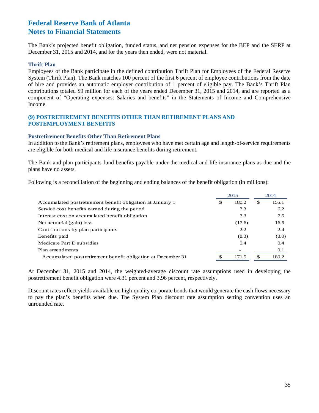The Bank's projected benefit obligation, funded status, and net pension expenses for the BEP and the SERP at December 31, 2015 and 2014, and for the years then ended, were not material.

#### **Thrift Plan**

Employees of the Bank participate in the defined contribution Thrift Plan for Employees of the Federal Reserve System (Thrift Plan). The Bank matches 100 percent of the first 6 percent of employee contributions from the date of hire and provides an automatic employer contribution of 1 percent of eligible pay. The Bank's Thrift Plan contributions totaled \$9 million for each of the years ended December 31, 2015 and 2014, and are reported as a component of "Operating expenses: Salaries and benefits" in the Statements of Income and Comprehensive Income.

#### **(9) POSTRETIREMENT BENEFITS OTHER THAN RETIREMENT PLANS AND POSTEMPLOYMENT BENEFITS**

#### **Postretirement Benefits Other Than Retirement Plans**

In addition to the Bank's retirement plans, employees who have met certain age and length-of-service requirements are eligible for both medical and life insurance benefits during retirement.

The Bank and plan participants fund benefits payable under the medical and life insurance plans as due and the plans have no assets.

Following is a reconciliation of the beginning and ending balances of the benefit obligation (in millions):

|                                                              | 2015        |    | 2014  |
|--------------------------------------------------------------|-------------|----|-------|
| Accumulated postretirement benefit obligation at January 1   | \$<br>180.2 | \$ | 155.1 |
| Service cost benefits earned during the period               | 7.3         |    | 6.2   |
| Interest cost on accumulated benefit obligation              | 7.3         |    | 7.5   |
| Net actuarial (gain) loss                                    | (17.6)      |    | 16.5  |
| Contributions by plan participants                           | 2.2         |    | 2.4   |
| Benefits paid                                                | (8.3)       |    | (8.0) |
| Medicare Part D subsidies                                    | 0.4         |    | 0.4   |
| Plan amendments                                              |             |    | 0.1   |
| Accumulated postretirement benefit obligation at December 31 | 171.5       | £. | 180.2 |

At December 31, 2015 and 2014, the weighted-average discount rate assumptions used in developing the postretirement benefit obligation were 4.31 percent and 3.96 percent, respectively.

Discount rates reflect yields available on high-quality corporate bonds that would generate the cash flows necessary to pay the plan's benefits when due. The System Plan discount rate assumption setting convention uses an unrounded rate.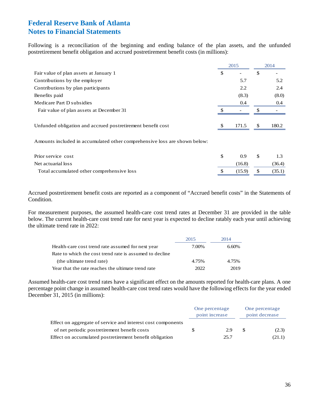Following is a reconciliation of the beginning and ending balance of the plan assets, and the unfunded postretirement benefit obligation and accrued postretirement benefit costs (in millions):

|                                                                           | 2015 |       | 2014 |       |
|---------------------------------------------------------------------------|------|-------|------|-------|
| Fair value of plan assets at January 1                                    | \$   |       | \$   |       |
| Contributions by the employer                                             |      | 5.7   |      | 5.2   |
| Contributions by plan participants                                        |      | 2.2   |      | 2.4   |
| Benefits paid                                                             |      | (8.3) |      | (8.0) |
| Medicare Part D subsidies                                                 |      | 0.4   |      | 0.4   |
| Fair value of plan assets at December 31                                  |      |       |      |       |
|                                                                           |      |       |      |       |
| Unfunded obligation and accrued postretirement benefit cost               |      | 171.5 | \$   | 180.2 |
|                                                                           |      |       |      |       |
| Amounts included in accumulated other comprehensive loss are shown below: |      |       |      |       |

| Prior service cost                         | 09     | - \$     | -1.3   |
|--------------------------------------------|--------|----------|--------|
| Net actuarial loss                         | (16.8) |          | (36.4) |
| Total accumulated other comprehensive loss | (15.9) | <b>S</b> | (35.1) |

Accrued postretirement benefit costs are reported as a component of "Accrued benefit costs" in the Statements of Condition.

For measurement purposes, the assumed health-care cost trend rates at December 31 are provided in the table below. The current health-care cost trend rate for next year is expected to decline ratably each year until achieving the ultimate trend rate in 2022:

|                                                         | 2015  | 2014  |
|---------------------------------------------------------|-------|-------|
| Health-care cost trend rate assumed for next year       | 7.00% | 6.60% |
| Rate to which the cost trend rate is assumed to decline |       |       |
| (the ultimate trend rate)                               | 4.75% | 4.75% |
| Year that the rate reaches the ultimate trend rate      | 2022. | 2019  |

Assumed health-care cost trend rates have a significant effect on the amounts reported for health-care plans. A one percentage point change in assumed health-care cost trend rates would have the following effects for the year ended December 31, 2015 (in millions):

|                                                             | One percentage<br>point increase |      | One percentage<br>point decrease |        |
|-------------------------------------------------------------|----------------------------------|------|----------------------------------|--------|
| Effect on aggregate of service and interest cost components |                                  |      |                                  |        |
| of net periodic postretirement benefit costs                |                                  | 2.9  | £.                               | (2.3)  |
| Effect on accumulated postretirement benefit obligation     |                                  | 25.7 |                                  | (21.1) |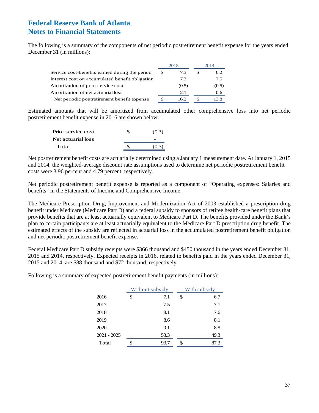The following is a summary of the components of net periodic postretirement benefit expense for the years ended December 31 (in millions):

|                                                 | 2015 |       | 2014  |
|-------------------------------------------------|------|-------|-------|
| Service cost-benefits earned during the period  | S    | 7.3   | 6.2   |
| Interest cost on accumulated benefit obligation |      | 7.3   | 7.5   |
| Amortization of prior service cost              |      | (0.5) | (0.5) |
| Amortization of net actuarial loss              |      | 2.1   | 0.6   |
| Net periodic postretirement benefit expense     | £.   | 16.2  | 13.8  |

Estimated amounts that will be amortized from accumulated other comprehensive loss into net periodic postretirement benefit expense in 2016 are shown below:

| Prior service cost | (0.3) |
|--------------------|-------|
| Net actuarial loss |       |
| Total              | (0.3) |

Net postretirement benefit costs are actuarially determined using a January 1 measurement date. At January 1, 2015 and 2014, the weighted-average discount rate assumptions used to determine net periodic postretirement benefit costs were 3.96 percent and 4.79 percent, respectively.

Net periodic postretirement benefit expense is reported as a component of "Operating expenses: Salaries and benefits" in the Statements of Income and Comprehensive Income.

The Medicare Prescription Drug, Improvement and Modernization Act of 2003 established a prescription drug benefit under Medicare (Medicare Part D) and a federal subsidy to sponsors of retiree health-care benefit plans that provide benefits that are at least actuarially equivalent to Medicare Part D. The benefits provided under the Bank's plan to certain participants are at least actuarially equivalent to the Medicare Part D prescription drug benefit. The estimated effects of the subsidy are reflected in actuarial loss in the accumulated postretirement benefit obligation and net periodic postretirement benefit expense.

Federal Medicare Part D subsidy receipts were \$366 thousand and \$450 thousand in the years ended December 31, 2015 and 2014, respectively. Expected receipts in 2016, related to benefits paid in the years ended December 31, 2015 and 2014, are \$88 thousand and \$72 thousand, respectively.

Following is a summary of expected postretirement benefit payments (in millions):

|               | Without subsidy | With subsidy |      |  |
|---------------|-----------------|--------------|------|--|
| 2016          | \$<br>7.1       | \$           | 6.7  |  |
| 2017          | 7.5             |              | 7.1  |  |
| 2018          | 8.1             |              | 7.6  |  |
| 2019          | 8.6             |              | 8.1  |  |
| 2020          | 9.1             |              | 8.5  |  |
| $2021 - 2025$ | 53.3            |              | 49.3 |  |
| Total         | \$<br>93.7      | \$           | 87.3 |  |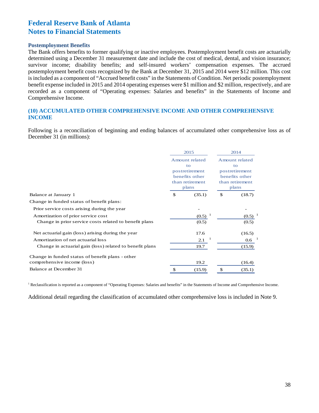#### **Postemployment Benefits**

The Bank offers benefits to former qualifying or inactive employees. Postemployment benefit costs are actuarially determined using a December 31 measurement date and include the cost of medical, dental, and vision insurance; survivor income; disability benefits; and self-insured workers' compensation expenses. The accrued postemployment benefit costs recognized by the Bank at December 31, 2015 and 2014 were \$12 million. This cost is included as a component of "Accrued benefit costs" in the Statements of Condition. Net periodic postemployment benefit expense included in 2015 and 2014 operating expenses were \$1 million and \$2 million, respectively, and are recorded as a component of "Operating expenses: Salaries and benefits" in the Statements of Income and Comprehensive Income.

### **(10) ACCUMULATED OTHER COMPREHENSIVE INCOME AND OTHER COMPREHENSIVE INCOME**

Following is a reconciliation of beginning and ending balances of accumulated other comprehensive loss as of December 31 (in millions):

|                                                          |                                                           | 2015           |                                  | 2014             |  |  |
|----------------------------------------------------------|-----------------------------------------------------------|----------------|----------------------------------|------------------|--|--|
|                                                          |                                                           | Amount related | Amount related                   |                  |  |  |
|                                                          | to<br>postretirement<br>benefits other<br>than retirement |                | to                               |                  |  |  |
|                                                          |                                                           |                | postretirement<br>benefits other |                  |  |  |
|                                                          |                                                           |                | than retirement                  |                  |  |  |
|                                                          |                                                           | plans          | plans                            |                  |  |  |
| Balance at January 1                                     | \$<br>(35.1)                                              |                | \$                               | (18.7)           |  |  |
| Change in funded status of benefit plans:                |                                                           |                |                                  |                  |  |  |
| Prior service costs arising during the year              |                                                           |                |                                  |                  |  |  |
| Amortization of prior service cost                       |                                                           | $(0.5)^{-1}$   |                                  | (0.5)            |  |  |
| Change in prior service costs related to benefit plans   |                                                           | (0.5)          |                                  | (0.5)            |  |  |
| Net actuarial gain (loss) arising during the year        |                                                           | 17.6           |                                  | (16.5)           |  |  |
| Amortization of net actuarial loss                       |                                                           | 2.1            |                                  | 0.6 <sub>1</sub> |  |  |
| Change in actuarial gain (loss) related to benefit plans |                                                           | 19.7           |                                  | (15.9)           |  |  |
| Change in funded status of benefit plans - other         |                                                           |                |                                  |                  |  |  |
| comprehensive income (loss)                              |                                                           | 19.2           |                                  | (16.4)           |  |  |
| Balance at December 31                                   | \$                                                        | (15.9)         |                                  | (35.1)           |  |  |

<sup>1</sup> Reclassification is reported as a component of "Operating Expenses: Salaries and benefits" in the Statements of Income and Comprehensive Income.

Additional detail regarding the classification of accumulated other comprehensive loss is included in Note 9.